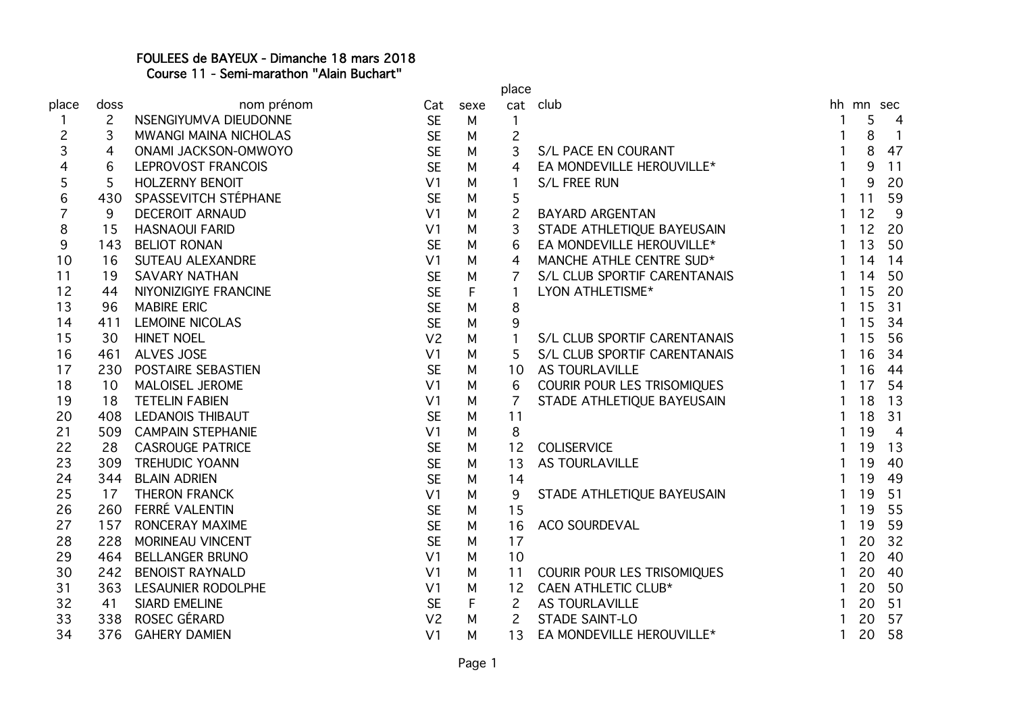## FOULEES de BAYEUX - Dimanche 18 mars 2018 Course 11 - Semi-marathon "Alain Buchart"

|                |                |                              |                |      | place          |                              |              |           |                          |
|----------------|----------------|------------------------------|----------------|------|----------------|------------------------------|--------------|-----------|--------------------------|
| place          | doss           | nom prénom                   | Cat            | sexe |                | cat club                     |              | hh mn sec |                          |
| 1              | $\overline{2}$ | NSENGIYUMVA DIEUDONNE        | <b>SE</b>      | M    | 1              |                              |              | 5         | 4                        |
| $\overline{c}$ | 3              | <b>MWANGI MAINA NICHOLAS</b> | <b>SE</b>      | M    | $\overline{c}$ |                              | 1            | 8         | $\overline{\phantom{0}}$ |
| 3              | 4              | ONAMI JACKSON-OMWOYO         | <b>SE</b>      | M    | 3              | S/L PACE EN COURANT          | $\mathbf{1}$ | 8         | 47                       |
| 4              | 6              | LEPROVOST FRANCOIS           | <b>SE</b>      | M    | $\overline{4}$ | EA MONDEVILLE HEROUVILLE*    | $\mathbf{1}$ | 9         | 11                       |
| 5              | 5              | <b>HOLZERNY BENOIT</b>       | V <sub>1</sub> | M    |                | S/L FREE RUN                 | $\mathbf{1}$ | 9         | 20                       |
| 6              | 430            | SPASSEVITCH STÉPHANE         | <b>SE</b>      | М    | 5              |                              | $\mathbf{1}$ | 11        | 59                       |
| $\overline{7}$ | 9              | <b>DECEROIT ARNAUD</b>       | V <sub>1</sub> | M    | $\overline{c}$ | <b>BAYARD ARGENTAN</b>       | $\mathbf{1}$ | 12        | 9                        |
| 8              | 15             | <b>HASNAOUI FARID</b>        | V <sub>1</sub> | M    | 3              | STADE ATHLETIQUE BAYEUSAIN   | $\mathbf{1}$ | 12        | 20                       |
| 9              | 143            | <b>BELIOT RONAN</b>          | <b>SE</b>      | M    | 6              | EA MONDEVILLE HEROUVILLE*    | $\mathbf{1}$ | 13        | 50                       |
| 10             | 16             | <b>SUTEAU ALEXANDRE</b>      | V <sub>1</sub> | M    | 4              | MANCHE ATHLE CENTRE SUD*     | $\mathbf{1}$ | 14        | 14                       |
| 11             | 19             | <b>SAVARY NATHAN</b>         | <b>SE</b>      | M    | 7              | S/L CLUB SPORTIF CARENTANAIS | 1            | 14        | 50                       |
| 12             | 44             | NIYONIZIGIYE FRANCINE        | <b>SE</b>      | F    |                | LYON ATHLETISME*             |              | 15        | 20                       |
| 13             | 96             | <b>MABIRE ERIC</b>           | <b>SE</b>      | M    | 8              |                              |              | 15        | 31                       |
| 14             | 411            | <b>LEMOINE NICOLAS</b>       | <b>SE</b>      | M    | 9              |                              |              | 15        | 34                       |
| 15             | 30             | <b>HINET NOEL</b>            | V <sub>2</sub> | M    | $\mathbf{1}$   | S/L CLUB SPORTIF CARENTANAIS |              | 15        | 56                       |
| 16             | 461            | <b>ALVES JOSE</b>            | V <sub>1</sub> | M    | 5              | S/L CLUB SPORTIF CARENTANAIS |              | 16        | 34                       |
| 17             | 230            | POSTAIRE SEBASTIEN           | <b>SE</b>      | М    | 10             | <b>AS TOURLAVILLE</b>        | $\mathbf{1}$ | 16        | 44                       |
| 18             | 10             | <b>MALOISEL JEROME</b>       | V <sub>1</sub> | M    | 6              | COURIR POUR LES TRISOMIQUES  | $\mathbf{1}$ | 17        | 54                       |
| 19             | 18             | <b>TETELIN FABIEN</b>        | V <sub>1</sub> | М    | $\overline{7}$ | STADE ATHLETIQUE BAYEUSAIN   | -1           | 18        | 13                       |
| 20             | 408            | <b>LEDANOIS THIBAUT</b>      | <b>SE</b>      | М    | 11             |                              | $\mathbf{1}$ | 18        | 31                       |
| 21             | 509            | <b>CAMPAIN STEPHANIE</b>     | V <sub>1</sub> | M    | 8              |                              | 1            | 19        | $\overline{4}$           |
| 22             | 28             | <b>CASROUGE PATRICE</b>      | <b>SE</b>      | М    | 12             | <b>COLISERVICE</b>           | $\mathbf{1}$ | 19        | 13                       |
| 23             | 309            | <b>TREHUDIC YOANN</b>        | <b>SE</b>      | М    | 13             | <b>AS TOURLAVILLE</b>        | $\mathbf{1}$ | 19        | 40                       |
| 24             | 344            | <b>BLAIN ADRIEN</b>          | <b>SE</b>      | М    | 14             |                              | 1            | 19        | 49                       |
| 25             | 17             | <b>THERON FRANCK</b>         | V <sub>1</sub> | М    | 9              | STADE ATHLETIQUE BAYEUSAIN   | 1            | 19        | 51                       |
| 26             | 260            | FERRÉ VALENTIN               | <b>SE</b>      | M    | 15             |                              |              | 19        | 55                       |
| 27             | 157            | RONCERAY MAXIME              | <b>SE</b>      | M    | 16             | ACO SOURDEVAL                | 1            | 19        | 59                       |
| 28             | 228            | MORINEAU VINCENT             | <b>SE</b>      | М    | 17             |                              |              | 20        | 32                       |
| 29             | 464            | <b>BELLANGER BRUNO</b>       | V <sub>1</sub> | М    | 10             |                              |              | 20        | 40                       |
| 30             | 242            | <b>BENOIST RAYNALD</b>       | V <sub>1</sub> | М    | 11             | COURIR POUR LES TRISOMIQUES  | $\mathbf{1}$ | 20        | 40                       |
| 31             | 363            | <b>LESAUNIER RODOLPHE</b>    | V <sub>1</sub> | М    | 12             | <b>CAEN ATHLETIC CLUB*</b>   | $\mathbf{1}$ | 20        | 50                       |
| 32             | 41             | <b>SIARD EMELINE</b>         | <b>SE</b>      | F    | 2              | <b>AS TOURLAVILLE</b>        | 1            | 20        | 51                       |
| 33             | 338            | ROSEC GÉRARD                 | V <sub>2</sub> | М    | $\overline{c}$ | <b>STADE SAINT-LO</b>        | $\mathbf{1}$ | 20        | 57                       |
| 34             | 376            | <b>GAHERY DAMIEN</b>         | V <sub>1</sub> | M    | 13             | EA MONDEVILLE HEROUVILLE*    | 1            | 20        | 58                       |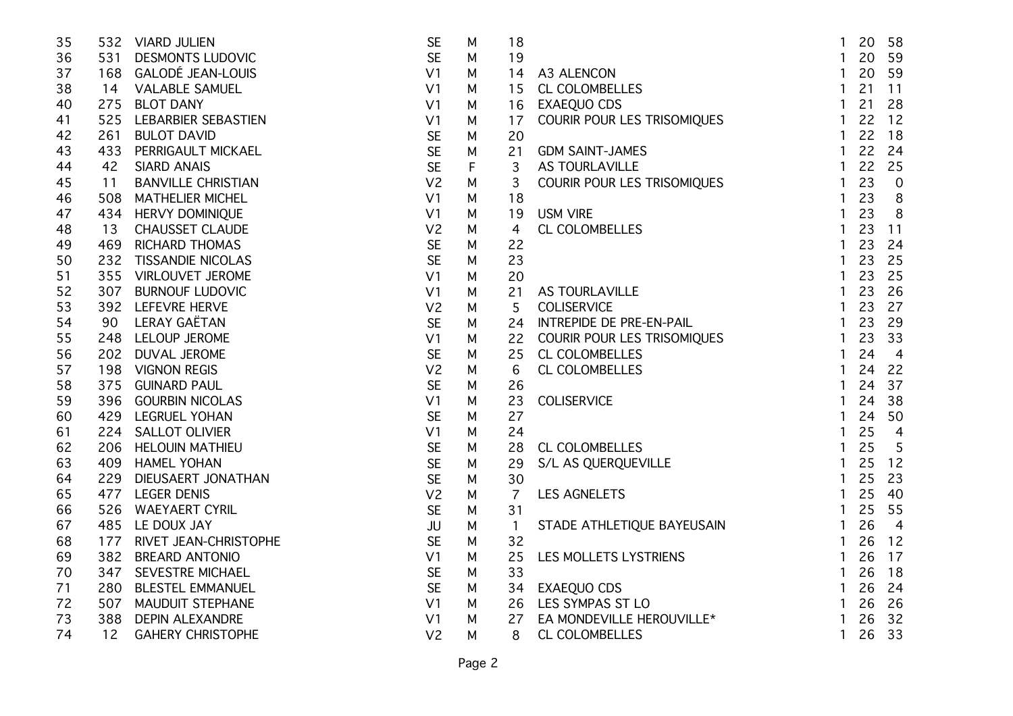| 35 |     | 532 VIARD JULIEN          | <b>SE</b>      | M | 18             |                             | $\mathbf{1}$ | 20 | 58                      |
|----|-----|---------------------------|----------------|---|----------------|-----------------------------|--------------|----|-------------------------|
| 36 |     | 531 DESMONTS LUDOVIC      | <b>SE</b>      | M | 19             |                             | $\mathbf{1}$ | 20 | 59                      |
| 37 |     | 168 GALODÉ JEAN-LOUIS     | V <sub>1</sub> | M | 14             | A3 ALENCON                  | $\mathbf{1}$ | 20 | 59                      |
| 38 |     | 14 VALABLE SAMUEL         | V <sub>1</sub> | M | 15             | CL COLOMBELLES              | $\mathbf{1}$ | 21 | 11                      |
| 40 |     | 275 BLOT DANY             | V <sub>1</sub> | M | 16             | EXAEQUO CDS                 | $\mathbf{1}$ | 21 | 28                      |
| 41 |     | 525 LEBARBIER SEBASTIEN   | V <sub>1</sub> | M | 17             | COURIR POUR LES TRISOMIQUES | $\mathbf{1}$ | 22 | 12                      |
| 42 | 261 | <b>BULOT DAVID</b>        | <b>SE</b>      | M | 20             |                             | $\mathbf{1}$ | 22 | 18                      |
| 43 | 433 | PERRIGAULT MICKAEL        | <b>SE</b>      | M | 21             | <b>GDM SAINT-JAMES</b>      | $\mathbf{1}$ | 22 | 24                      |
| 44 | 42  | <b>SIARD ANAIS</b>        | <b>SE</b>      | F | 3              | AS TOURLAVILLE              | $\mathbf{1}$ | 22 | 25                      |
| 45 | 11  | <b>BANVILLE CHRISTIAN</b> | V <sub>2</sub> | M | 3              | COURIR POUR LES TRISOMIQUES | $\mathbf{1}$ | 23 | $\overline{0}$          |
| 46 | 508 | <b>MATHELIER MICHEL</b>   | V <sub>1</sub> | M | 18             |                             | $\mathbf{1}$ | 23 | 8                       |
| 47 |     | 434 HERVY DOMINIQUE       | V <sub>1</sub> | M | 19             | <b>USM VIRE</b>             | $\mathbf{1}$ | 23 | 8                       |
| 48 | 13  | <b>CHAUSSET CLAUDE</b>    | V <sub>2</sub> | M | 4              | <b>CL COLOMBELLES</b>       | $\mathbf{1}$ | 23 | 11                      |
| 49 | 469 | <b>RICHARD THOMAS</b>     | <b>SE</b>      | M | 22             |                             | $\mathbf{1}$ | 23 | 24                      |
| 50 | 232 | <b>TISSANDIE NICOLAS</b>  | <b>SE</b>      | M | 23             |                             | $\mathbf{1}$ | 23 | 25                      |
| 51 |     | 355 VIRLOUVET JEROME      | V <sub>1</sub> | M | 20             |                             | $\mathbf{1}$ | 23 | 25                      |
| 52 |     | 307 BURNOUF LUDOVIC       | V <sub>1</sub> | M | 21             | AS TOURLAVILLE              | $\mathbf{1}$ | 23 | 26                      |
| 53 |     | 392 LEFEVRE HERVE         | V <sub>2</sub> | M | 5              | <b>COLISERVICE</b>          | $\mathbf{1}$ | 23 | 27                      |
| 54 |     | 90 LERAY GAËTAN           | <b>SE</b>      | M | 24             | INTREPIDE DE PRE-EN-PAIL    | $\mathbf{1}$ | 23 | 29                      |
| 55 |     | 248 LELOUP JEROME         | V <sub>1</sub> | M | 22             | COURIR POUR LES TRISOMIQUES | $\mathbf{1}$ | 23 | 33                      |
| 56 |     | 202 DUVAL JEROME          | <b>SE</b>      | M | 25             | <b>CL COLOMBELLES</b>       | $\mathbf{1}$ | 24 | $\overline{4}$          |
| 57 |     | 198 VIGNON REGIS          | V <sub>2</sub> | M | 6              | CL COLOMBELLES              | $\mathbf{1}$ | 24 | 22                      |
| 58 | 375 | <b>GUINARD PAUL</b>       | <b>SE</b>      | M | 26             |                             | $\mathbf{1}$ | 24 | 37                      |
| 59 | 396 | <b>GOURBIN NICOLAS</b>    | V <sub>1</sub> | M | 23             | <b>COLISERVICE</b>          | $\mathbf{1}$ | 24 | 38                      |
| 60 |     | 429 LEGRUEL YOHAN         | <b>SE</b>      | M | 27             |                             | $\mathbf{1}$ | 24 | 50                      |
| 61 |     | 224 SALLOT OLIVIER        | V <sub>1</sub> | M | 24             |                             | $\mathbf{1}$ | 25 | $\overline{4}$          |
| 62 |     | 206 HELOUIN MATHIEU       | <b>SE</b>      | M | 28             | <b>CL COLOMBELLES</b>       | $\mathbf{1}$ | 25 | 5                       |
| 63 |     | 409 HAMEL YOHAN           | <b>SE</b>      | M | 29             | S/L AS QUERQUEVILLE         | $\mathbf{1}$ | 25 | 12                      |
| 64 |     | 229 DIEUSAERT JONATHAN    | <b>SE</b>      | M | 30             |                             | $\mathbf{1}$ | 25 | 23                      |
| 65 |     | 477 LEGER DENIS           | V <sub>2</sub> | M | $\overline{7}$ | LES AGNELETS                | $\mathbf{1}$ | 25 | 40                      |
| 66 |     | 526 WAEYAERT CYRIL        | <b>SE</b>      | M | 31             |                             | $\mathbf{1}$ | 25 | 55                      |
| 67 |     | 485 LE DOUX JAY           | <b>JU</b>      | M | $\overline{1}$ | STADE ATHLETIQUE BAYEUSAIN  | $\mathbf{1}$ | 26 | $\overline{\mathbf{4}}$ |
| 68 | 177 | RIVET JEAN-CHRISTOPHE     | <b>SE</b>      | M | 32             |                             | $\mathbf{1}$ | 26 | 12                      |
| 69 | 382 | <b>BREARD ANTONIO</b>     | V <sub>1</sub> | M | 25             | LES MOLLETS LYSTRIENS       | $\mathbf{1}$ | 26 | 17                      |
| 70 | 347 | SEVESTRE MICHAEL          | <b>SE</b>      | M | 33             |                             | $\mathbf{1}$ | 26 | 18                      |
| 71 | 280 | <b>BLESTEL EMMANUEL</b>   | <b>SE</b>      | M | 34             | <b>EXAEQUO CDS</b>          | $\mathbf{1}$ | 26 | 24                      |
| 72 | 507 | <b>MAUDUIT STEPHANE</b>   | V <sub>1</sub> | M | 26             | LES SYMPAS ST LO            | $\mathbf{1}$ | 26 | 26                      |
| 73 | 388 | <b>DEPIN ALEXANDRE</b>    | V <sub>1</sub> | M | 27             | EA MONDEVILLE HEROUVILLE*   | $\mathbf{1}$ | 26 | 32                      |
| 74 | 12  | <b>GAHERY CHRISTOPHE</b>  | V <sub>2</sub> | M | 8              | CL COLOMBELLES              | $\mathbf{1}$ | 26 | 33                      |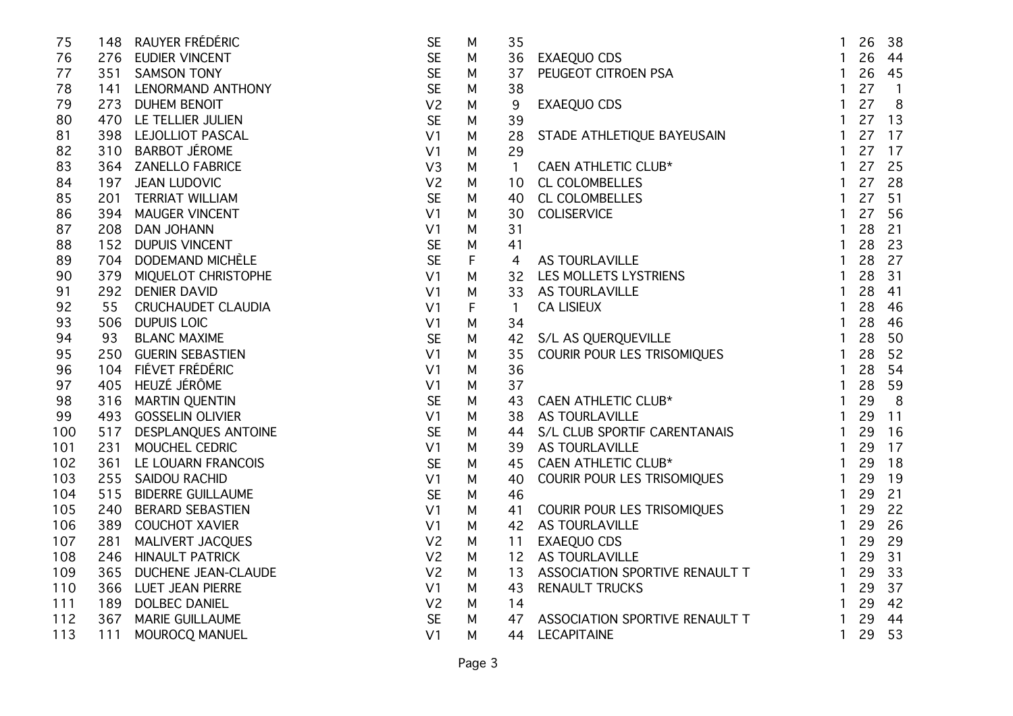| 75  |     | 148 RAUYER FRÉDÉRIC       | <b>SE</b>      | M           | 35             |                                                                                                                                                                                                                                                        | $\mathbf{1}$   | 26 | 38             |
|-----|-----|---------------------------|----------------|-------------|----------------|--------------------------------------------------------------------------------------------------------------------------------------------------------------------------------------------------------------------------------------------------------|----------------|----|----------------|
| 76  |     | 276 EUDIER VINCENT        | <b>SE</b>      | М           | 36             | PSA<br>The Contract of the Contract of the Contract of the Contract of the Contract of the Contract of the Contract of the Contract of the Contract of the Contract of the Contract of the Contract of the Contract of the Contr<br><b>EXAEQUO CDS</b> | $\mathbf{1}$   | 26 | 44             |
| 77  |     | 351 SAMSON TONY           | <b>SE</b>      | М           | 37             | PEUGEOT CITROEN PSA                                                                                                                                                                                                                                    | $\mathbf{1}$   | 26 | 45             |
| 78  |     | 141 LENORMAND ANTHONY     | <b>SE</b>      | M           | 38             |                                                                                                                                                                                                                                                        | $\mathbf{1}$   | 27 | $\overline{1}$ |
| 79  |     | 273 DUHEM BENOIT          | V <sub>2</sub> | M           | 9              | <b>EXAEQUO CDS</b>                                                                                                                                                                                                                                     | $\mathbf{1}$   | 27 | 8              |
| 80  |     | 470 LE TELLIER JULIEN     | <b>SE</b>      | М           | 39             |                                                                                                                                                                                                                                                        | $\mathbf{1}$   | 27 | 13             |
| 81  |     | 398 LEJOLLIOT PASCAL      | V <sub>1</sub> | M           | 28             | STADE ATHLETIQUE BAYEUSAIN                                                                                                                                                                                                                             | $\mathbf{1}$   | 27 | 17             |
| 82  |     | 310 BARBOT JÉROME         | V <sub>1</sub> | М           | 29             |                                                                                                                                                                                                                                                        | $\mathbf{1}$   | 27 | 17             |
| 83  |     | 364 ZANELLO FABRICE       | V3             | М           | $\overline{1}$ | <b>CAEN ATHLETIC CLUB*</b>                                                                                                                                                                                                                             | $\mathbf{1}$   | 27 | 25             |
| 84  | 197 | <b>JEAN LUDOVIC</b>       | V <sub>2</sub> | М           | 10             |                                                                                                                                                                                                                                                        | $\mathbf{1}$   | 27 | 28             |
| 85  | 201 | <b>TERRIAT WILLIAM</b>    | <b>SE</b>      | М           | 40             |                                                                                                                                                                                                                                                        | $\mathbf{1}$   | 27 | 51             |
| 86  | 394 | <b>MAUGER VINCENT</b>     | V <sub>1</sub> | М           | 30             |                                                                                                                                                                                                                                                        | $\mathbf{1}$   | 27 | 56             |
| 87  | 208 | <b>DAN JOHANN</b>         | V <sub>1</sub> | M           | 31             |                                                                                                                                                                                                                                                        | $\mathbf{1}$   | 28 | 21             |
| 88  |     | 152 DUPUIS VINCENT        | <b>SE</b>      | M           | 41             |                                                                                                                                                                                                                                                        | $\mathbf{1}$   | 28 | 23             |
| 89  |     | 704 DODEMAND MICHÈLE      | <b>SE</b>      | $\mathsf F$ | 4              |                                                                                                                                                                                                                                                        | $\mathbf{1}$   | 28 | 27             |
| 90  |     | 379 MIQUELOT CHRISTOPHE   | V <sub>1</sub> | М           | 32             |                                                                                                                                                                                                                                                        | $\mathbf{1}$   | 28 | 31             |
| 91  |     | 292 DENIER DAVID          | V <sub>1</sub> | M           | 33             |                                                                                                                                                                                                                                                        | $\mathbf{1}$   | 28 | 41             |
| 92  | 55  | <b>CRUCHAUDET CLAUDIA</b> | V <sub>1</sub> | F           | $\overline{1}$ |                                                                                                                                                                                                                                                        | $\mathbf{1}$   | 28 | 46             |
| 93  | 506 | <b>DUPUIS LOIC</b>        | V <sub>1</sub> | М           | 34             |                                                                                                                                                                                                                                                        | $\mathbf{1}$   | 28 | 46             |
| 94  | 93  | <b>BLANC MAXIME</b>       | <b>SE</b>      | М           | 42             |                                                                                                                                                                                                                                                        | $\mathbf{1}$   | 28 | 50             |
| 95  | 250 | <b>GUERIN SEBASTIEN</b>   | V <sub>1</sub> | M           | 35             | CAEN ATHLETIC CLUB*<br>CL COLOMBELLES<br>CL COLOMBELLES<br>COLISERVICE<br>AS TOURLAVILLE<br>LES MOLLETS LYSTRIENS<br>AS TOURLAVILLE<br>CA LISIEUX<br>S/L AS QUERQUEVILLE<br>CA LISIEUX                                                                 | $\mathbf{1}$   | 28 | 52             |
| 96  |     | 104 FIÉVET FRÉDÉRIC       | V <sub>1</sub> | M           | 36             |                                                                                                                                                                                                                                                        | $\mathbf{1}$   | 28 | 54             |
| 97  |     | 405 HEUZÉ JÉRÔME          | V <sub>1</sub> | M           | 37             | CAEN ATHLETIC CLUB*<br>AS TOURLAVILLE                                                                                                                                                                                                                  | $\mathbf{1}$   | 28 | 59             |
| 98  | 316 | MARTIN QUENTIN            | <b>SE</b>      | M           | 43             |                                                                                                                                                                                                                                                        | $\mathbf{1}$   | 29 | 8              |
| 99  |     | 493 GOSSELIN OLIVIER      | V <sub>1</sub> | M           | 38             | AS TOURLAVILLE                                                                                                                                                                                                                                         | $\mathbf{1}$   | 29 | 11             |
| 100 |     | 517 DESPLANQUES ANTOINE   | <b>SE</b>      | M           | 44             | S/L CLUB SPORTIF CARENTANAIS<br>AS TOURLAVILLE<br>CAEN ATHLETIC CLUB*<br>COURIR POUR LES TRISOMIQUES                                                                                                                                                   | $\mathbf{1}$   | 29 | 16             |
| 101 |     | 231 MOUCHEL CEDRIC        | V <sub>1</sub> | M           | 39             |                                                                                                                                                                                                                                                        | $\mathbf{1}$   | 29 | 17             |
| 102 |     | 361 LE LOUARN FRANCOIS    | <b>SE</b>      | M           | 45             | CAEN ATHLETIC CLUB*                                                                                                                                                                                                                                    | $\mathbf{1}$   | 29 | 18             |
| 103 |     | 255 SAIDOU RACHID         | V <sub>1</sub> | M           | 40             |                                                                                                                                                                                                                                                        | $\mathbf{1}$   | 29 | 19             |
| 104 | 515 | <b>BIDERRE GUILLAUME</b>  | <b>SE</b>      | M           | 46             |                                                                                                                                                                                                                                                        | $\mathbf{1}$   | 29 | 21             |
| 105 | 240 | <b>BERARD SEBASTIEN</b>   | V <sub>1</sub> | M           | 41             | COURIR POUR LES TRISOMIQUES<br>AS TOURLAVILLE<br>EXAEQUO CDS<br>AS TOURLAVILLE                                                                                                                                                                         | $\mathbf{1}$   | 29 | 22             |
| 106 | 389 | <b>COUCHOT XAVIER</b>     | V <sub>1</sub> | М           | 42             |                                                                                                                                                                                                                                                        | $\mathbf{1}$   | 29 | 26             |
| 107 | 281 | MALIVERT JACQUES          | V <sub>2</sub> | М           | 11             |                                                                                                                                                                                                                                                        | $\mathbf{1}$   | 29 | 29             |
| 108 | 246 | <b>HINAULT PATRICK</b>    | V <sub>2</sub> | M           | 12             |                                                                                                                                                                                                                                                        | $\mathbf{1}$   | 29 | 31             |
| 109 | 365 | DUCHENE JEAN-CLAUDE       | V <sub>2</sub> | M           | 13             | ASSOCIATION SPORTIVE RENAULT T                                                                                                                                                                                                                         | $\overline{1}$ | 29 | 33             |
| 110 | 366 | LUET JEAN PIERRE          | V <sub>1</sub> | M           | 43             | <b>RENAULT TRUCKS</b>                                                                                                                                                                                                                                  | $\mathbf{1}$   | 29 | 37             |
| 111 | 189 | <b>DOLBEC DANIEL</b>      | V <sub>2</sub> | М           | 14             |                                                                                                                                                                                                                                                        | $\mathbf{1}$   | 29 | 42             |
| 112 | 367 | <b>MARIE GUILLAUME</b>    | <b>SE</b>      | М           | 47             | ASSOCIATION SPORTIVE RENAULT T                                                                                                                                                                                                                         | $\overline{1}$ | 29 | 44             |
| 113 | 111 | MOUROCQ MANUEL            | V <sub>1</sub> | M           | 44             | <b>LECAPITAINE</b>                                                                                                                                                                                                                                     | $\mathbf{1}$   | 29 | 53             |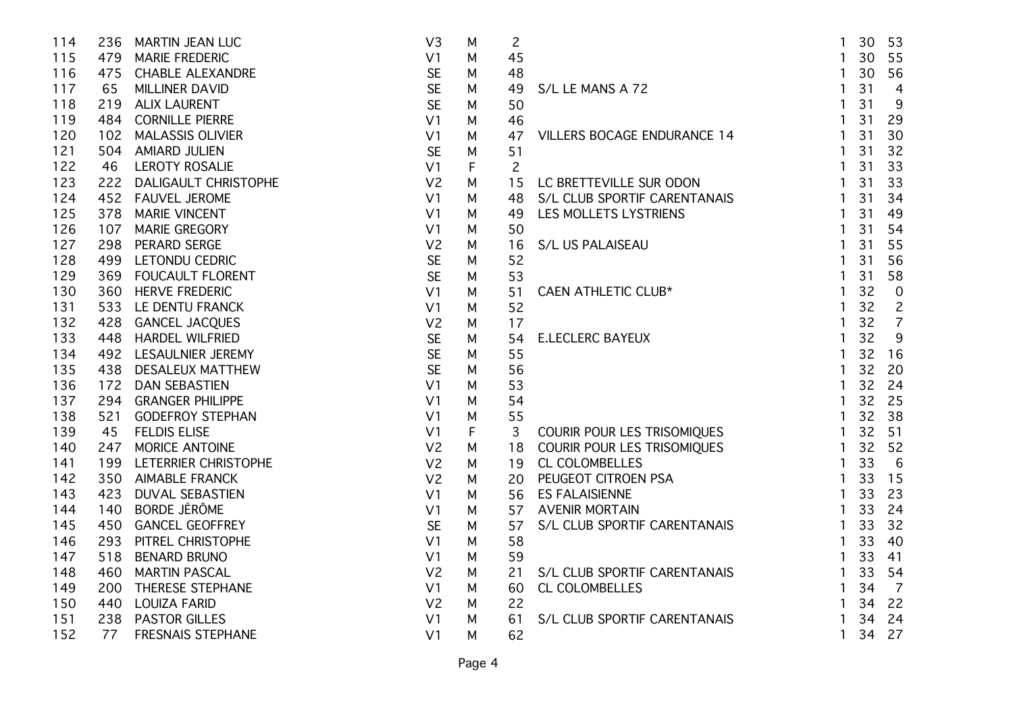| 114 | 236 | <b>MARTIN JEAN LUC</b>      | V <sub>3</sub> | M | $\overline{c}$ |                                                                                                                                                     | $\mathbf{1}$   | 30 | 53              |
|-----|-----|-----------------------------|----------------|---|----------------|-----------------------------------------------------------------------------------------------------------------------------------------------------|----------------|----|-----------------|
| 115 |     | 479 MARIE FREDERIC          | V <sub>1</sub> | M | 45             |                                                                                                                                                     | $\mathbf{1}$   | 30 | 55              |
| 116 |     | 475 CHABLE ALEXANDRE        | <b>SE</b>      | M | 48             |                                                                                                                                                     | $\mathbf{1}$   | 30 | 56              |
| 117 | 65  | MILLINER DAVID              | <b>SE</b>      | M | 49             | S/L LE MANS A 72                                                                                                                                    | $\mathbf{1}$   | 31 | $\overline{4}$  |
| 118 |     | 219 ALIX LAURENT            | <b>SE</b>      | М | 50             |                                                                                                                                                     | $\mathbf{1}$   | 31 | 9               |
| 119 |     | 484 CORNILLE PIERRE         | V <sub>1</sub> | M | 46             |                                                                                                                                                     | $\mathbf{1}$   | 31 | 29              |
| 120 | 102 | <b>MALASSIS OLIVIER</b>     | V <sub>1</sub> | M | 47             | <b>VILLERS BOCAGE ENDURANCE 14</b>                                                                                                                  | $\mathbf{1}$   | 31 | 30              |
| 121 | 504 | <b>AMIARD JULIEN</b>        | <b>SE</b>      | M | 51             |                                                                                                                                                     | $\mathbf{1}$   | 31 | 32              |
| 122 | 46  | <b>LEROTY ROSALIE</b>       | V <sub>1</sub> | F | $\overline{c}$ |                                                                                                                                                     | $\mathbf{1}$   | 31 | 33              |
| 123 | 222 | <b>DALIGAULT CHRISTOPHE</b> | V <sub>2</sub> | M | 15             | LC BRETTEVILLE SUR ODON                                                                                                                             | $\mathbf{1}$   | 31 | 33              |
| 124 |     | 452 FAUVEL JEROME           | V <sub>1</sub> | M | 48             | S/L CLUB SPORTIF CARENTANAIS                                                                                                                        | $\overline{1}$ | 31 | 34              |
| 125 | 378 | <b>MARIE VINCENT</b>        | V <sub>1</sub> | M | 49             | LES MOLLETS LYSTRIENS                                                                                                                               | $\mathbf{1}$   | 31 | 49              |
| 126 | 107 | <b>MARIE GREGORY</b>        | V <sub>1</sub> | M | 50             |                                                                                                                                                     | $\mathbf{1}$   | 31 | 54              |
| 127 | 298 | PERARD SERGE                | V <sub>2</sub> | M | 16             | S/L US PALAISEAU                                                                                                                                    | $\mathbf{1}$   | 31 | 55              |
| 128 |     | 499 LETONDU CEDRIC          | <b>SE</b>      | M | 52             |                                                                                                                                                     | $\mathbf{1}$   | 31 | 56              |
| 129 |     | 369 FOUCAULT FLORENT        | <b>SE</b>      | M | 53             |                                                                                                                                                     | $\mathbf{1}$   | 31 | 58              |
| 130 |     | 360 HERVE FREDERIC          | V <sub>1</sub> | M | 51             | <b>CAEN ATHLETIC CLUB*</b>                                                                                                                          | $\mathbf{1}$   | 32 | $\overline{0}$  |
| 131 |     | 533 LE DENTU FRANCK         | V <sub>1</sub> | M | 52             |                                                                                                                                                     | $\mathbf{1}$   | 32 | $\overline{c}$  |
| 132 |     | 428 GANCEL JACQUES          | V <sub>2</sub> | M | 17             |                                                                                                                                                     | $\mathbf{1}$   | 32 | $\overline{7}$  |
| 133 |     | 448 HARDEL WILFRIED         | <b>SE</b>      | M | 54             | <b>E.LECLERC BAYEUX</b>                                                                                                                             | $\mathbf{1}$   | 32 | 9               |
| 134 |     | 492 LESAULNIER JEREMY       | <b>SE</b>      | M | 55             |                                                                                                                                                     | $\mathbf{1}$   | 32 | 16              |
| 135 | 438 | <b>DESALEUX MATTHEW</b>     | <b>SE</b>      | M | 56             |                                                                                                                                                     | $\mathbf{1}$   | 32 | 20              |
| 136 | 172 | <b>DAN SEBASTIEN</b>        | V <sub>1</sub> | M | 53             |                                                                                                                                                     | $\mathbf{1}$   | 32 | 24              |
| 137 |     | 294 GRANGER PHILIPPE        | V <sub>1</sub> | M | 54             |                                                                                                                                                     | $\mathbf{1}$   | 32 | 25              |
| 138 |     | 521 GODEFROY STEPHAN        | V <sub>1</sub> | M |                |                                                                                                                                                     | $\mathbf{1}$   | 32 | 38              |
| 139 | 45  | <b>FELDIS ELISE</b>         | V <sub>1</sub> | F |                | ANSOMIQUES<br>ANSOMIQUES<br>THE CL COLOMBELLES<br>20 PEUGEOT CITROEN PSA<br>56 ES FALAISIENNE<br>7 AVENIR MORTAIN<br>7 S/L CLUB SPORTIF CARENTANAIS | $\mathbf{1}$   | 32 | 51              |
| 140 |     | 247 MORICE ANTOINE          | V <sub>2</sub> | M |                |                                                                                                                                                     | $\overline{1}$ | 32 | 52              |
| 141 |     | 199 LETERRIER CHRISTOPHE    | V <sub>2</sub> | M |                |                                                                                                                                                     | $\overline{1}$ | 33 | $6\overline{6}$ |
| 142 |     | 350 AIMABLE FRANCK          | V <sub>2</sub> | M |                |                                                                                                                                                     | $\overline{1}$ | 33 | 15              |
| 143 | 423 | DUVAL SEBASTIEN             | V <sub>1</sub> | M |                |                                                                                                                                                     | $\overline{1}$ | 33 | 23              |
| 144 | 140 | <b>BORDE JÉRÔME</b>         | V <sub>1</sub> | M |                |                                                                                                                                                     | $\mathbf{1}$   | 33 | 24              |
| 145 | 450 | <b>GANCEL GEOFFREY</b>      | <b>SE</b>      | м |                |                                                                                                                                                     | $\mathbf{1}$   | 33 | 32              |
| 146 | 293 | PITREL CHRISTOPHE           | V <sub>1</sub> | M |                |                                                                                                                                                     | $\mathbf{1}$   | 33 | 40              |
| 147 | 518 | <b>BENARD BRUNO</b>         | V <sub>1</sub> | M | 59             |                                                                                                                                                     | $\mathbf{1}$   | 33 | 41              |
| 148 | 460 | <b>MARTIN PASCAL</b>        | V <sub>2</sub> | M | 21             | S/L CLUB SPORTIF CARENTANAIS                                                                                                                        | $\mathbf{1}$   | 33 | 54              |
| 149 | 200 | THERESE STEPHANE            | V <sub>1</sub> | M | 60             | CL COLOMBELLES                                                                                                                                      | $\overline{1}$ | 34 | $\overline{7}$  |
| 150 | 440 | <b>LOUIZA FARID</b>         | V <sub>2</sub> | M | 22             |                                                                                                                                                     | $\overline{1}$ | 34 | 22              |
| 151 | 238 | <b>PASTOR GILLES</b>        | V <sub>1</sub> | M | 61             | S/L CLUB SPORTIF CARENTANAIS                                                                                                                        | $\overline{1}$ | 34 | 24              |
| 152 | 77  | <b>FRESNAIS STEPHANE</b>    | V <sub>1</sub> | М | 62             |                                                                                                                                                     | $\mathbf{1}$   | 34 | 27              |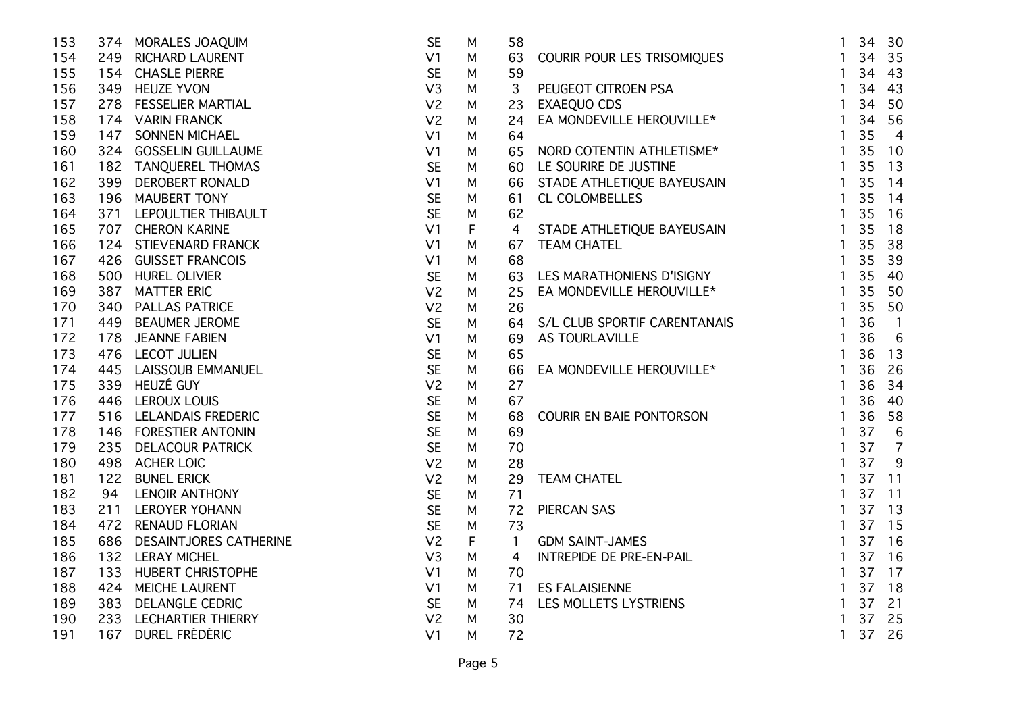| COURIR POUR LES TRISOMIQUES<br>PEUGEOT CITROEN PSA<br>EXAEQUO CDS<br>EA MONDEVILLE HEROUVILLE*<br>35<br>154<br>V <sub>1</sub><br>$\mathbf{1}$<br>34<br>249 RICHARD LAURENT<br>M<br>63<br><b>SE</b><br>59<br>155<br>154 CHASLE PIERRE<br>34<br>43<br>M<br>$\mathbf{1}$<br>34<br>43<br>156<br>349 HEUZE YVON<br>V3<br>$\overline{1}$<br>3<br>М<br>V <sub>2</sub><br>50<br>157<br>278 FESSELIER MARTIAL<br>$\mathbf{1}$<br>34<br>23<br>М<br>V <sub>2</sub><br>34<br>56<br>158<br>174 VARIN FRANCK<br>$\mathbf{1}$<br>M<br>24<br>35<br>159<br><b>SONNEN MICHAEL</b><br>$\overline{4}$<br>147<br>V <sub>1</sub><br>64<br>1<br>M<br>NORD COTENTIN ATHLETISME*<br>35<br>160<br>324 GOSSELIN GUILLAUME<br>V <sub>1</sub><br>65<br>10<br>M<br>$\mathbf{1}$<br><b>SE</b><br>35<br>161<br>$\mathbf{1}$<br>13<br>182 TANQUEREL THOMAS<br>LE SOURIRE DE JUSTINE<br>M<br>60<br>LE SOURIRE DE JUSTINE<br>STADE ATHLETIQUE BAYEUSAIN<br>CL COLOMBELLES<br>STADE ATHLETIQUE BAYEUSAIN<br>TEAM CHATEL<br>LES MARATHONIENS D'ISIGNY<br>35<br>162<br>V <sub>1</sub><br>14<br>399<br><b>DEROBERT RONALD</b><br>M<br>66<br>$\overline{1}$<br><b>SE</b><br>163<br>35<br>14<br>196 MAUBERT TONY<br>M<br>61<br>$\mathbf{1}$<br><b>SE</b><br>35<br>62<br>16<br>164<br>371 LEPOULTIER THIBAULT<br>M<br>$\mathbf{1}$<br>35<br>165<br>V <sub>1</sub><br>F<br>$\overline{4}$<br>18<br>707 CHERON KARINE<br>$\mathbf{1}$<br>$\mathbf{1}$<br>35<br>38<br>166<br>124 STIEVENARD FRANCK<br>V <sub>1</sub><br>M<br>67<br>167<br>V <sub>1</sub><br>68<br>$\mathbf{1}$<br>35<br>39<br>426 GUISSET FRANCOIS<br>M<br><b>SE</b><br>35<br>168<br>500 HUREL OLIVIER<br>$\mathbf{1}$<br>40<br>M<br>63<br>EA MONDEVILLE HEROUVILLE*<br>V <sub>2</sub><br>35<br>169<br>387 MATTER ERIC<br>25<br>$\mathbf{1}$<br>50<br>M<br>170<br>340 PALLAS PATRICE<br>V <sub>2</sub><br>35<br>50<br>26<br>$\mathbf{1}$<br>М<br><b>SE</b><br>S/L CLUB SPORTIF CARENTANAIS<br>36<br>171<br>449<br><b>BEAUMER JEROME</b><br>$\mathbf{1}$<br>$\sqrt{1}$<br>64<br>M<br>6<br>36<br>172<br>178 JEANNE FABIEN<br>AS TOURLAVILLE<br>$\mathbf{1}$<br>V <sub>1</sub><br>M<br>69<br><b>SE</b><br>173<br>36<br>13<br>476 LECOT JULIEN<br>65<br>$\mathbf{1}$<br>M<br><b>SE</b><br>EA MONDEVILLE HEROUVILLE*<br>26<br>174<br>445 LAISSOUB EMMANUEL<br>36<br>M<br>66<br>$\mathbf{1}$<br>175<br>339 HEUZÉ GUY<br>36<br>34<br>V <sub>2</sub><br>27<br>M<br>$\mathbf{1}$<br><b>SE</b><br>176<br>67<br>36<br>40<br>446 LEROUX LOUIS<br>M<br>$\mathbf{1}$<br><b>SE</b><br>177<br>516 LELANDAIS FREDERIC<br>$\mathbf{1}$<br>36<br>58<br>68<br>COURIR EN BAIE PONTORSON<br>M<br><b>SE</b><br>37<br>6<br>146 FORESTIER ANTONIN<br>69<br>$\mathbf{1}$<br>178<br>M<br><b>SE</b><br>$\overline{7}$<br>179<br>235 DELACOUR PATRICK<br>$\mathbf{1}$<br>37<br>70<br>M<br>MES<br>PRE-EN-PAIL<br>PRE-EN-PAIL<br>37<br>9<br>180<br>498 ACHER LOIC<br>V <sub>2</sub><br>$\mathbf{1}$<br>28<br>M<br>V <sub>2</sub><br>37<br>11<br>181<br>122 BUNEL ERICK<br>29<br><b>TEAM CHATEL</b><br>$\mathbf{1}$<br>M<br>182<br><b>SE</b><br>37<br>94<br>LENOIR ANTHONY<br>71<br>$\mathbf{1}$<br>11<br>M<br><b>SE</b><br>183<br>37<br>211<br><b>LEROYER YOHANN</b><br>72<br><b>PIERCAN SAS</b><br>13<br>M<br>$\mathbf{1}$<br><b>SE</b><br>37<br>184<br>15<br>472 RENAUD FLORIAN<br>73<br>1<br>M<br>185<br>V <sub>2</sub><br>37<br>686 DESAINTJORES CATHERINE<br>F<br><b>GDM SAINT-JAMES</b><br>16<br>$\mathbf{1}$<br>$\mathbf{1}$<br>186<br>V <sub>3</sub><br>37<br>16<br>132 LERAY MICHEL<br>M<br>INTREPIDE DE PRE-EN-PAIL<br>$\mathbf{1}$<br>4<br>187<br><b>HUBERT CHRISTOPHE</b><br>37<br>17<br>133<br>V <sub>1</sub><br>M<br>70<br>$\mathbf{1}$<br>37<br>188<br>V <sub>1</sub><br>18<br>424 MEICHE LAURENT<br>M<br>71<br><b>ES FALAISIENNE</b><br>$\mathbf{1}$<br><b>SE</b><br>37<br>21<br>189<br>383 DELANGLE CEDRIC<br>LES MOLLETS LYSTRIENS<br>M<br>$\mathbf{1}$<br>74<br>V <sub>2</sub><br>37<br>25<br>190<br>233 LECHARTIER THIERRY<br>M<br>30<br>$\mathbf{1}$<br>DUREL FRÉDÉRIC<br>V <sub>1</sub><br>$\mathbf{1}$<br>37<br>167<br>M<br>191 | 153 | 374 MORALES JOAQUIM | <b>SE</b> | M | 58 | $\mathbf{1}$ | 34 | 30 |
|--------------------------------------------------------------------------------------------------------------------------------------------------------------------------------------------------------------------------------------------------------------------------------------------------------------------------------------------------------------------------------------------------------------------------------------------------------------------------------------------------------------------------------------------------------------------------------------------------------------------------------------------------------------------------------------------------------------------------------------------------------------------------------------------------------------------------------------------------------------------------------------------------------------------------------------------------------------------------------------------------------------------------------------------------------------------------------------------------------------------------------------------------------------------------------------------------------------------------------------------------------------------------------------------------------------------------------------------------------------------------------------------------------------------------------------------------------------------------------------------------------------------------------------------------------------------------------------------------------------------------------------------------------------------------------------------------------------------------------------------------------------------------------------------------------------------------------------------------------------------------------------------------------------------------------------------------------------------------------------------------------------------------------------------------------------------------------------------------------------------------------------------------------------------------------------------------------------------------------------------------------------------------------------------------------------------------------------------------------------------------------------------------------------------------------------------------------------------------------------------------------------------------------------------------------------------------------------------------------------------------------------------------------------------------------------------------------------------------------------------------------------------------------------------------------------------------------------------------------------------------------------------------------------------------------------------------------------------------------------------------------------------------------------------------------------------------------------------------------------------------------------------------------------------------------------------------------------------------------------------------------------------------------------------------------------------------------------------------------------------------------------------------------------------------------------------------------------------------------------------------------------------------------------------------------------------------------------------------------------------------------------------------------------------------------------------------------------------------------------------------------------------------------------------------------------------------------------------------------------------------------------------------------------------------------------------------------------------------------------------------------------------------------------------|-----|---------------------|-----------|---|----|--------------|----|----|
|                                                                                                                                                                                                                                                                                                                                                                                                                                                                                                                                                                                                                                                                                                                                                                                                                                                                                                                                                                                                                                                                                                                                                                                                                                                                                                                                                                                                                                                                                                                                                                                                                                                                                                                                                                                                                                                                                                                                                                                                                                                                                                                                                                                                                                                                                                                                                                                                                                                                                                                                                                                                                                                                                                                                                                                                                                                                                                                                                                                                                                                                                                                                                                                                                                                                                                                                                                                                                                                                                                                                                                                                                                                                                                                                                                                                                                                                                                                                                                                                                                            |     |                     |           |   |    |              |    |    |
|                                                                                                                                                                                                                                                                                                                                                                                                                                                                                                                                                                                                                                                                                                                                                                                                                                                                                                                                                                                                                                                                                                                                                                                                                                                                                                                                                                                                                                                                                                                                                                                                                                                                                                                                                                                                                                                                                                                                                                                                                                                                                                                                                                                                                                                                                                                                                                                                                                                                                                                                                                                                                                                                                                                                                                                                                                                                                                                                                                                                                                                                                                                                                                                                                                                                                                                                                                                                                                                                                                                                                                                                                                                                                                                                                                                                                                                                                                                                                                                                                                            |     |                     |           |   |    |              |    |    |
|                                                                                                                                                                                                                                                                                                                                                                                                                                                                                                                                                                                                                                                                                                                                                                                                                                                                                                                                                                                                                                                                                                                                                                                                                                                                                                                                                                                                                                                                                                                                                                                                                                                                                                                                                                                                                                                                                                                                                                                                                                                                                                                                                                                                                                                                                                                                                                                                                                                                                                                                                                                                                                                                                                                                                                                                                                                                                                                                                                                                                                                                                                                                                                                                                                                                                                                                                                                                                                                                                                                                                                                                                                                                                                                                                                                                                                                                                                                                                                                                                                            |     |                     |           |   |    |              |    |    |
|                                                                                                                                                                                                                                                                                                                                                                                                                                                                                                                                                                                                                                                                                                                                                                                                                                                                                                                                                                                                                                                                                                                                                                                                                                                                                                                                                                                                                                                                                                                                                                                                                                                                                                                                                                                                                                                                                                                                                                                                                                                                                                                                                                                                                                                                                                                                                                                                                                                                                                                                                                                                                                                                                                                                                                                                                                                                                                                                                                                                                                                                                                                                                                                                                                                                                                                                                                                                                                                                                                                                                                                                                                                                                                                                                                                                                                                                                                                                                                                                                                            |     |                     |           |   |    |              |    |    |
|                                                                                                                                                                                                                                                                                                                                                                                                                                                                                                                                                                                                                                                                                                                                                                                                                                                                                                                                                                                                                                                                                                                                                                                                                                                                                                                                                                                                                                                                                                                                                                                                                                                                                                                                                                                                                                                                                                                                                                                                                                                                                                                                                                                                                                                                                                                                                                                                                                                                                                                                                                                                                                                                                                                                                                                                                                                                                                                                                                                                                                                                                                                                                                                                                                                                                                                                                                                                                                                                                                                                                                                                                                                                                                                                                                                                                                                                                                                                                                                                                                            |     |                     |           |   |    |              |    |    |
|                                                                                                                                                                                                                                                                                                                                                                                                                                                                                                                                                                                                                                                                                                                                                                                                                                                                                                                                                                                                                                                                                                                                                                                                                                                                                                                                                                                                                                                                                                                                                                                                                                                                                                                                                                                                                                                                                                                                                                                                                                                                                                                                                                                                                                                                                                                                                                                                                                                                                                                                                                                                                                                                                                                                                                                                                                                                                                                                                                                                                                                                                                                                                                                                                                                                                                                                                                                                                                                                                                                                                                                                                                                                                                                                                                                                                                                                                                                                                                                                                                            |     |                     |           |   |    |              |    |    |
|                                                                                                                                                                                                                                                                                                                                                                                                                                                                                                                                                                                                                                                                                                                                                                                                                                                                                                                                                                                                                                                                                                                                                                                                                                                                                                                                                                                                                                                                                                                                                                                                                                                                                                                                                                                                                                                                                                                                                                                                                                                                                                                                                                                                                                                                                                                                                                                                                                                                                                                                                                                                                                                                                                                                                                                                                                                                                                                                                                                                                                                                                                                                                                                                                                                                                                                                                                                                                                                                                                                                                                                                                                                                                                                                                                                                                                                                                                                                                                                                                                            |     |                     |           |   |    |              |    |    |
|                                                                                                                                                                                                                                                                                                                                                                                                                                                                                                                                                                                                                                                                                                                                                                                                                                                                                                                                                                                                                                                                                                                                                                                                                                                                                                                                                                                                                                                                                                                                                                                                                                                                                                                                                                                                                                                                                                                                                                                                                                                                                                                                                                                                                                                                                                                                                                                                                                                                                                                                                                                                                                                                                                                                                                                                                                                                                                                                                                                                                                                                                                                                                                                                                                                                                                                                                                                                                                                                                                                                                                                                                                                                                                                                                                                                                                                                                                                                                                                                                                            |     |                     |           |   |    |              |    |    |
|                                                                                                                                                                                                                                                                                                                                                                                                                                                                                                                                                                                                                                                                                                                                                                                                                                                                                                                                                                                                                                                                                                                                                                                                                                                                                                                                                                                                                                                                                                                                                                                                                                                                                                                                                                                                                                                                                                                                                                                                                                                                                                                                                                                                                                                                                                                                                                                                                                                                                                                                                                                                                                                                                                                                                                                                                                                                                                                                                                                                                                                                                                                                                                                                                                                                                                                                                                                                                                                                                                                                                                                                                                                                                                                                                                                                                                                                                                                                                                                                                                            |     |                     |           |   |    |              |    |    |
|                                                                                                                                                                                                                                                                                                                                                                                                                                                                                                                                                                                                                                                                                                                                                                                                                                                                                                                                                                                                                                                                                                                                                                                                                                                                                                                                                                                                                                                                                                                                                                                                                                                                                                                                                                                                                                                                                                                                                                                                                                                                                                                                                                                                                                                                                                                                                                                                                                                                                                                                                                                                                                                                                                                                                                                                                                                                                                                                                                                                                                                                                                                                                                                                                                                                                                                                                                                                                                                                                                                                                                                                                                                                                                                                                                                                                                                                                                                                                                                                                                            |     |                     |           |   |    |              |    |    |
|                                                                                                                                                                                                                                                                                                                                                                                                                                                                                                                                                                                                                                                                                                                                                                                                                                                                                                                                                                                                                                                                                                                                                                                                                                                                                                                                                                                                                                                                                                                                                                                                                                                                                                                                                                                                                                                                                                                                                                                                                                                                                                                                                                                                                                                                                                                                                                                                                                                                                                                                                                                                                                                                                                                                                                                                                                                                                                                                                                                                                                                                                                                                                                                                                                                                                                                                                                                                                                                                                                                                                                                                                                                                                                                                                                                                                                                                                                                                                                                                                                            |     |                     |           |   |    |              |    |    |
|                                                                                                                                                                                                                                                                                                                                                                                                                                                                                                                                                                                                                                                                                                                                                                                                                                                                                                                                                                                                                                                                                                                                                                                                                                                                                                                                                                                                                                                                                                                                                                                                                                                                                                                                                                                                                                                                                                                                                                                                                                                                                                                                                                                                                                                                                                                                                                                                                                                                                                                                                                                                                                                                                                                                                                                                                                                                                                                                                                                                                                                                                                                                                                                                                                                                                                                                                                                                                                                                                                                                                                                                                                                                                                                                                                                                                                                                                                                                                                                                                                            |     |                     |           |   |    |              |    |    |
|                                                                                                                                                                                                                                                                                                                                                                                                                                                                                                                                                                                                                                                                                                                                                                                                                                                                                                                                                                                                                                                                                                                                                                                                                                                                                                                                                                                                                                                                                                                                                                                                                                                                                                                                                                                                                                                                                                                                                                                                                                                                                                                                                                                                                                                                                                                                                                                                                                                                                                                                                                                                                                                                                                                                                                                                                                                                                                                                                                                                                                                                                                                                                                                                                                                                                                                                                                                                                                                                                                                                                                                                                                                                                                                                                                                                                                                                                                                                                                                                                                            |     |                     |           |   |    |              |    |    |
|                                                                                                                                                                                                                                                                                                                                                                                                                                                                                                                                                                                                                                                                                                                                                                                                                                                                                                                                                                                                                                                                                                                                                                                                                                                                                                                                                                                                                                                                                                                                                                                                                                                                                                                                                                                                                                                                                                                                                                                                                                                                                                                                                                                                                                                                                                                                                                                                                                                                                                                                                                                                                                                                                                                                                                                                                                                                                                                                                                                                                                                                                                                                                                                                                                                                                                                                                                                                                                                                                                                                                                                                                                                                                                                                                                                                                                                                                                                                                                                                                                            |     |                     |           |   |    |              |    |    |
|                                                                                                                                                                                                                                                                                                                                                                                                                                                                                                                                                                                                                                                                                                                                                                                                                                                                                                                                                                                                                                                                                                                                                                                                                                                                                                                                                                                                                                                                                                                                                                                                                                                                                                                                                                                                                                                                                                                                                                                                                                                                                                                                                                                                                                                                                                                                                                                                                                                                                                                                                                                                                                                                                                                                                                                                                                                                                                                                                                                                                                                                                                                                                                                                                                                                                                                                                                                                                                                                                                                                                                                                                                                                                                                                                                                                                                                                                                                                                                                                                                            |     |                     |           |   |    |              |    |    |
|                                                                                                                                                                                                                                                                                                                                                                                                                                                                                                                                                                                                                                                                                                                                                                                                                                                                                                                                                                                                                                                                                                                                                                                                                                                                                                                                                                                                                                                                                                                                                                                                                                                                                                                                                                                                                                                                                                                                                                                                                                                                                                                                                                                                                                                                                                                                                                                                                                                                                                                                                                                                                                                                                                                                                                                                                                                                                                                                                                                                                                                                                                                                                                                                                                                                                                                                                                                                                                                                                                                                                                                                                                                                                                                                                                                                                                                                                                                                                                                                                                            |     |                     |           |   |    |              |    |    |
|                                                                                                                                                                                                                                                                                                                                                                                                                                                                                                                                                                                                                                                                                                                                                                                                                                                                                                                                                                                                                                                                                                                                                                                                                                                                                                                                                                                                                                                                                                                                                                                                                                                                                                                                                                                                                                                                                                                                                                                                                                                                                                                                                                                                                                                                                                                                                                                                                                                                                                                                                                                                                                                                                                                                                                                                                                                                                                                                                                                                                                                                                                                                                                                                                                                                                                                                                                                                                                                                                                                                                                                                                                                                                                                                                                                                                                                                                                                                                                                                                                            |     |                     |           |   |    |              |    |    |
|                                                                                                                                                                                                                                                                                                                                                                                                                                                                                                                                                                                                                                                                                                                                                                                                                                                                                                                                                                                                                                                                                                                                                                                                                                                                                                                                                                                                                                                                                                                                                                                                                                                                                                                                                                                                                                                                                                                                                                                                                                                                                                                                                                                                                                                                                                                                                                                                                                                                                                                                                                                                                                                                                                                                                                                                                                                                                                                                                                                                                                                                                                                                                                                                                                                                                                                                                                                                                                                                                                                                                                                                                                                                                                                                                                                                                                                                                                                                                                                                                                            |     |                     |           |   |    |              |    |    |
|                                                                                                                                                                                                                                                                                                                                                                                                                                                                                                                                                                                                                                                                                                                                                                                                                                                                                                                                                                                                                                                                                                                                                                                                                                                                                                                                                                                                                                                                                                                                                                                                                                                                                                                                                                                                                                                                                                                                                                                                                                                                                                                                                                                                                                                                                                                                                                                                                                                                                                                                                                                                                                                                                                                                                                                                                                                                                                                                                                                                                                                                                                                                                                                                                                                                                                                                                                                                                                                                                                                                                                                                                                                                                                                                                                                                                                                                                                                                                                                                                                            |     |                     |           |   |    |              |    |    |
|                                                                                                                                                                                                                                                                                                                                                                                                                                                                                                                                                                                                                                                                                                                                                                                                                                                                                                                                                                                                                                                                                                                                                                                                                                                                                                                                                                                                                                                                                                                                                                                                                                                                                                                                                                                                                                                                                                                                                                                                                                                                                                                                                                                                                                                                                                                                                                                                                                                                                                                                                                                                                                                                                                                                                                                                                                                                                                                                                                                                                                                                                                                                                                                                                                                                                                                                                                                                                                                                                                                                                                                                                                                                                                                                                                                                                                                                                                                                                                                                                                            |     |                     |           |   |    |              |    |    |
|                                                                                                                                                                                                                                                                                                                                                                                                                                                                                                                                                                                                                                                                                                                                                                                                                                                                                                                                                                                                                                                                                                                                                                                                                                                                                                                                                                                                                                                                                                                                                                                                                                                                                                                                                                                                                                                                                                                                                                                                                                                                                                                                                                                                                                                                                                                                                                                                                                                                                                                                                                                                                                                                                                                                                                                                                                                                                                                                                                                                                                                                                                                                                                                                                                                                                                                                                                                                                                                                                                                                                                                                                                                                                                                                                                                                                                                                                                                                                                                                                                            |     |                     |           |   |    |              |    |    |
|                                                                                                                                                                                                                                                                                                                                                                                                                                                                                                                                                                                                                                                                                                                                                                                                                                                                                                                                                                                                                                                                                                                                                                                                                                                                                                                                                                                                                                                                                                                                                                                                                                                                                                                                                                                                                                                                                                                                                                                                                                                                                                                                                                                                                                                                                                                                                                                                                                                                                                                                                                                                                                                                                                                                                                                                                                                                                                                                                                                                                                                                                                                                                                                                                                                                                                                                                                                                                                                                                                                                                                                                                                                                                                                                                                                                                                                                                                                                                                                                                                            |     |                     |           |   |    |              |    |    |
|                                                                                                                                                                                                                                                                                                                                                                                                                                                                                                                                                                                                                                                                                                                                                                                                                                                                                                                                                                                                                                                                                                                                                                                                                                                                                                                                                                                                                                                                                                                                                                                                                                                                                                                                                                                                                                                                                                                                                                                                                                                                                                                                                                                                                                                                                                                                                                                                                                                                                                                                                                                                                                                                                                                                                                                                                                                                                                                                                                                                                                                                                                                                                                                                                                                                                                                                                                                                                                                                                                                                                                                                                                                                                                                                                                                                                                                                                                                                                                                                                                            |     |                     |           |   |    |              |    |    |
|                                                                                                                                                                                                                                                                                                                                                                                                                                                                                                                                                                                                                                                                                                                                                                                                                                                                                                                                                                                                                                                                                                                                                                                                                                                                                                                                                                                                                                                                                                                                                                                                                                                                                                                                                                                                                                                                                                                                                                                                                                                                                                                                                                                                                                                                                                                                                                                                                                                                                                                                                                                                                                                                                                                                                                                                                                                                                                                                                                                                                                                                                                                                                                                                                                                                                                                                                                                                                                                                                                                                                                                                                                                                                                                                                                                                                                                                                                                                                                                                                                            |     |                     |           |   |    |              |    |    |
|                                                                                                                                                                                                                                                                                                                                                                                                                                                                                                                                                                                                                                                                                                                                                                                                                                                                                                                                                                                                                                                                                                                                                                                                                                                                                                                                                                                                                                                                                                                                                                                                                                                                                                                                                                                                                                                                                                                                                                                                                                                                                                                                                                                                                                                                                                                                                                                                                                                                                                                                                                                                                                                                                                                                                                                                                                                                                                                                                                                                                                                                                                                                                                                                                                                                                                                                                                                                                                                                                                                                                                                                                                                                                                                                                                                                                                                                                                                                                                                                                                            |     |                     |           |   |    |              |    |    |
|                                                                                                                                                                                                                                                                                                                                                                                                                                                                                                                                                                                                                                                                                                                                                                                                                                                                                                                                                                                                                                                                                                                                                                                                                                                                                                                                                                                                                                                                                                                                                                                                                                                                                                                                                                                                                                                                                                                                                                                                                                                                                                                                                                                                                                                                                                                                                                                                                                                                                                                                                                                                                                                                                                                                                                                                                                                                                                                                                                                                                                                                                                                                                                                                                                                                                                                                                                                                                                                                                                                                                                                                                                                                                                                                                                                                                                                                                                                                                                                                                                            |     |                     |           |   |    |              |    |    |
|                                                                                                                                                                                                                                                                                                                                                                                                                                                                                                                                                                                                                                                                                                                                                                                                                                                                                                                                                                                                                                                                                                                                                                                                                                                                                                                                                                                                                                                                                                                                                                                                                                                                                                                                                                                                                                                                                                                                                                                                                                                                                                                                                                                                                                                                                                                                                                                                                                                                                                                                                                                                                                                                                                                                                                                                                                                                                                                                                                                                                                                                                                                                                                                                                                                                                                                                                                                                                                                                                                                                                                                                                                                                                                                                                                                                                                                                                                                                                                                                                                            |     |                     |           |   |    |              |    |    |
|                                                                                                                                                                                                                                                                                                                                                                                                                                                                                                                                                                                                                                                                                                                                                                                                                                                                                                                                                                                                                                                                                                                                                                                                                                                                                                                                                                                                                                                                                                                                                                                                                                                                                                                                                                                                                                                                                                                                                                                                                                                                                                                                                                                                                                                                                                                                                                                                                                                                                                                                                                                                                                                                                                                                                                                                                                                                                                                                                                                                                                                                                                                                                                                                                                                                                                                                                                                                                                                                                                                                                                                                                                                                                                                                                                                                                                                                                                                                                                                                                                            |     |                     |           |   |    |              |    |    |
|                                                                                                                                                                                                                                                                                                                                                                                                                                                                                                                                                                                                                                                                                                                                                                                                                                                                                                                                                                                                                                                                                                                                                                                                                                                                                                                                                                                                                                                                                                                                                                                                                                                                                                                                                                                                                                                                                                                                                                                                                                                                                                                                                                                                                                                                                                                                                                                                                                                                                                                                                                                                                                                                                                                                                                                                                                                                                                                                                                                                                                                                                                                                                                                                                                                                                                                                                                                                                                                                                                                                                                                                                                                                                                                                                                                                                                                                                                                                                                                                                                            |     |                     |           |   |    |              |    |    |
|                                                                                                                                                                                                                                                                                                                                                                                                                                                                                                                                                                                                                                                                                                                                                                                                                                                                                                                                                                                                                                                                                                                                                                                                                                                                                                                                                                                                                                                                                                                                                                                                                                                                                                                                                                                                                                                                                                                                                                                                                                                                                                                                                                                                                                                                                                                                                                                                                                                                                                                                                                                                                                                                                                                                                                                                                                                                                                                                                                                                                                                                                                                                                                                                                                                                                                                                                                                                                                                                                                                                                                                                                                                                                                                                                                                                                                                                                                                                                                                                                                            |     |                     |           |   |    |              |    |    |
|                                                                                                                                                                                                                                                                                                                                                                                                                                                                                                                                                                                                                                                                                                                                                                                                                                                                                                                                                                                                                                                                                                                                                                                                                                                                                                                                                                                                                                                                                                                                                                                                                                                                                                                                                                                                                                                                                                                                                                                                                                                                                                                                                                                                                                                                                                                                                                                                                                                                                                                                                                                                                                                                                                                                                                                                                                                                                                                                                                                                                                                                                                                                                                                                                                                                                                                                                                                                                                                                                                                                                                                                                                                                                                                                                                                                                                                                                                                                                                                                                                            |     |                     |           |   |    |              |    |    |
|                                                                                                                                                                                                                                                                                                                                                                                                                                                                                                                                                                                                                                                                                                                                                                                                                                                                                                                                                                                                                                                                                                                                                                                                                                                                                                                                                                                                                                                                                                                                                                                                                                                                                                                                                                                                                                                                                                                                                                                                                                                                                                                                                                                                                                                                                                                                                                                                                                                                                                                                                                                                                                                                                                                                                                                                                                                                                                                                                                                                                                                                                                                                                                                                                                                                                                                                                                                                                                                                                                                                                                                                                                                                                                                                                                                                                                                                                                                                                                                                                                            |     |                     |           |   |    |              |    |    |
|                                                                                                                                                                                                                                                                                                                                                                                                                                                                                                                                                                                                                                                                                                                                                                                                                                                                                                                                                                                                                                                                                                                                                                                                                                                                                                                                                                                                                                                                                                                                                                                                                                                                                                                                                                                                                                                                                                                                                                                                                                                                                                                                                                                                                                                                                                                                                                                                                                                                                                                                                                                                                                                                                                                                                                                                                                                                                                                                                                                                                                                                                                                                                                                                                                                                                                                                                                                                                                                                                                                                                                                                                                                                                                                                                                                                                                                                                                                                                                                                                                            |     |                     |           |   |    |              |    |    |
|                                                                                                                                                                                                                                                                                                                                                                                                                                                                                                                                                                                                                                                                                                                                                                                                                                                                                                                                                                                                                                                                                                                                                                                                                                                                                                                                                                                                                                                                                                                                                                                                                                                                                                                                                                                                                                                                                                                                                                                                                                                                                                                                                                                                                                                                                                                                                                                                                                                                                                                                                                                                                                                                                                                                                                                                                                                                                                                                                                                                                                                                                                                                                                                                                                                                                                                                                                                                                                                                                                                                                                                                                                                                                                                                                                                                                                                                                                                                                                                                                                            |     |                     |           |   |    |              |    |    |
|                                                                                                                                                                                                                                                                                                                                                                                                                                                                                                                                                                                                                                                                                                                                                                                                                                                                                                                                                                                                                                                                                                                                                                                                                                                                                                                                                                                                                                                                                                                                                                                                                                                                                                                                                                                                                                                                                                                                                                                                                                                                                                                                                                                                                                                                                                                                                                                                                                                                                                                                                                                                                                                                                                                                                                                                                                                                                                                                                                                                                                                                                                                                                                                                                                                                                                                                                                                                                                                                                                                                                                                                                                                                                                                                                                                                                                                                                                                                                                                                                                            |     |                     |           |   |    |              |    |    |
|                                                                                                                                                                                                                                                                                                                                                                                                                                                                                                                                                                                                                                                                                                                                                                                                                                                                                                                                                                                                                                                                                                                                                                                                                                                                                                                                                                                                                                                                                                                                                                                                                                                                                                                                                                                                                                                                                                                                                                                                                                                                                                                                                                                                                                                                                                                                                                                                                                                                                                                                                                                                                                                                                                                                                                                                                                                                                                                                                                                                                                                                                                                                                                                                                                                                                                                                                                                                                                                                                                                                                                                                                                                                                                                                                                                                                                                                                                                                                                                                                                            |     |                     |           |   |    |              |    |    |
|                                                                                                                                                                                                                                                                                                                                                                                                                                                                                                                                                                                                                                                                                                                                                                                                                                                                                                                                                                                                                                                                                                                                                                                                                                                                                                                                                                                                                                                                                                                                                                                                                                                                                                                                                                                                                                                                                                                                                                                                                                                                                                                                                                                                                                                                                                                                                                                                                                                                                                                                                                                                                                                                                                                                                                                                                                                                                                                                                                                                                                                                                                                                                                                                                                                                                                                                                                                                                                                                                                                                                                                                                                                                                                                                                                                                                                                                                                                                                                                                                                            |     |                     |           |   |    |              |    |    |
|                                                                                                                                                                                                                                                                                                                                                                                                                                                                                                                                                                                                                                                                                                                                                                                                                                                                                                                                                                                                                                                                                                                                                                                                                                                                                                                                                                                                                                                                                                                                                                                                                                                                                                                                                                                                                                                                                                                                                                                                                                                                                                                                                                                                                                                                                                                                                                                                                                                                                                                                                                                                                                                                                                                                                                                                                                                                                                                                                                                                                                                                                                                                                                                                                                                                                                                                                                                                                                                                                                                                                                                                                                                                                                                                                                                                                                                                                                                                                                                                                                            |     |                     |           |   | 72 |              |    | 26 |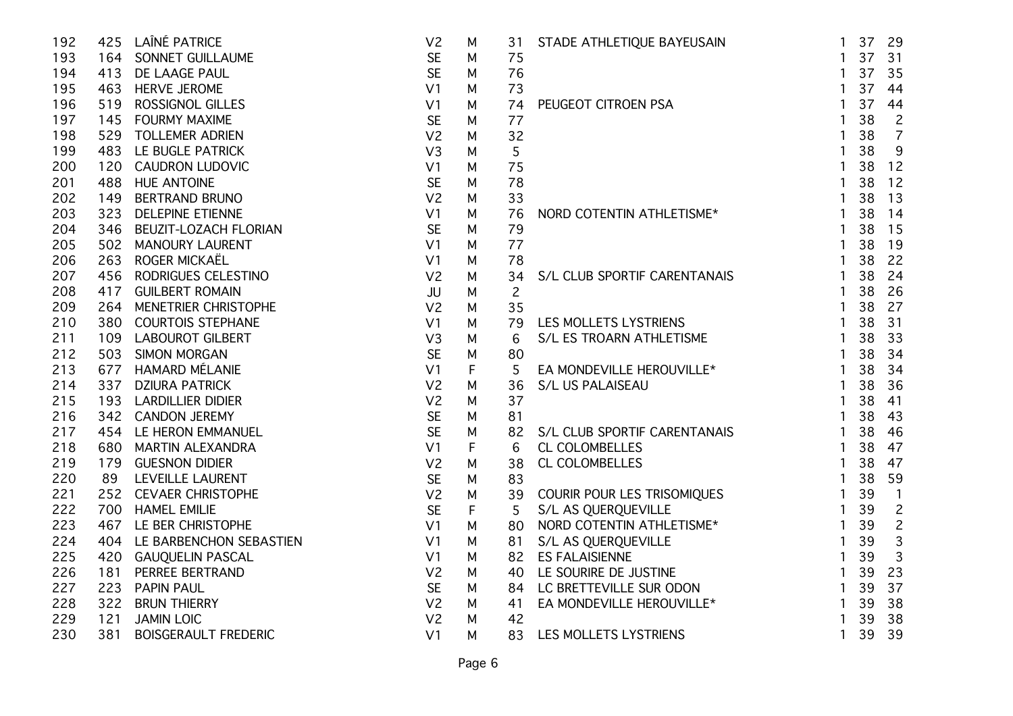| 192 |     | 425 LAÎNÉ PATRICE           | V <sub>2</sub> | M       | 31             | STADE ATHLETIQUE BAYEUSAIN                                                                  | $\mathbf{1}$   | 37 | 29             |
|-----|-----|-----------------------------|----------------|---------|----------------|---------------------------------------------------------------------------------------------|----------------|----|----------------|
| 193 |     | 164 SONNET GUILLAUME        | <b>SE</b>      | M       | 75             |                                                                                             | $\mathbf{1}$   | 37 | 31             |
| 194 | 413 | DE LAAGE PAUL               | <b>SE</b>      | M       | 76             |                                                                                             | $\mathbf{1}$   | 37 | 35             |
| 195 |     | 463 HERVE JEROME            | V <sub>1</sub> | M       | 73             |                                                                                             | $\mathbf{1}$   | 37 | 44             |
| 196 | 519 | <b>ROSSIGNOL GILLES</b>     | V <sub>1</sub> | M       | 74             | PEUGEOT CITROEN PSA                                                                         | $\mathbf{1}$   | 37 | 44             |
| 197 |     | 145 FOURMY MAXIME           | <b>SE</b>      | M       | 77             |                                                                                             | $\mathbf{1}$   | 38 | $\overline{c}$ |
| 198 |     | 529 TOLLEMER ADRIEN         | V <sub>2</sub> | M       | 32             |                                                                                             | $\mathbf{1}$   | 38 | $\overline{7}$ |
| 199 |     | 483 LE BUGLE PATRICK        | V <sub>3</sub> | М       | 5              |                                                                                             | 1              | 38 | $9\,$          |
| 200 |     | 120 CAUDRON LUDOVIC         | V <sub>1</sub> | М       | 75             |                                                                                             | 1              | 38 | 12             |
| 201 |     | 488 HUE ANTOINE             | <b>SE</b>      | М       | 78             |                                                                                             | 1              | 38 | 12             |
| 202 | 149 | <b>BERTRAND BRUNO</b>       | V <sub>2</sub> | M       | 33             |                                                                                             | 1              | 38 | 13             |
| 203 | 323 | <b>DELEPINE ETIENNE</b>     | V <sub>1</sub> | M       | 76             | NORD COTENTIN ATHLETISME*                                                                   | $\mathbf{1}$   | 38 | 14             |
| 204 | 346 | BEUZIT-LOZACH FLORIAN       | <b>SE</b>      | M       | 79             |                                                                                             | 1              | 38 | 15             |
| 205 |     | 502 MANOURY LAURENT         | V <sub>1</sub> | M       | 77             |                                                                                             | $\mathbf{1}$   | 38 | 19             |
| 206 | 263 | ROGER MICKAËL               | V <sub>1</sub> | M       | 78             |                                                                                             | $\mathbf{1}$   | 38 | 22             |
| 207 |     | 456 RODRIGUES CELESTINO     | V <sub>2</sub> | M       | 34             | S/L CLUB SPORTIF CARENTANAIS                                                                | $\mathbf{1}$   | 38 | 24             |
| 208 |     | 417 GUILBERT ROMAIN         | <b>JU</b>      | M       | $\overline{c}$ |                                                                                             | $\mathbf{1}$   | 38 | 26             |
| 209 |     | 264 MENETRIER CHRISTOPHE    | V <sub>2</sub> | M       | 35             | LES MOLLETS LYSTRIENS<br>S/L ES TROARN ATHLETISME                                           | $\mathbf{1}$   | 38 | 27             |
| 210 |     | 380 COURTOIS STEPHANE       | V <sub>1</sub> | M       | 79             |                                                                                             | $\overline{1}$ | 38 | 31             |
| 211 |     | 109 LABOUROT GILBERT        | V <sub>3</sub> | M       | 6              |                                                                                             | $\mathbf{1}$   | 38 | 33             |
| 212 | 503 | <b>SIMON MORGAN</b>         | <b>SE</b>      | М       | 80             |                                                                                             | $\mathbf{1}$   | 38 | 34             |
| 213 | 677 | <b>HAMARD MÉLANIE</b>       | V <sub>1</sub> | F       | 5              | EA MONDEVILLE HEROUVILLE*<br>S/L US PALAISEAU                                               | $\mathbf{1}$   | 38 | 34             |
| 214 |     | 337 DZIURA PATRICK          | V <sub>2</sub> | M       | 36             |                                                                                             | $\mathbf{1}$   | 38 | 36             |
| 215 |     | 193 LARDILLIER DIDIER       | V <sub>2</sub> | M       | 37             |                                                                                             | $\mathbf{1}$   | 38 | 41             |
| 216 |     | 342 CANDON JEREMY           | <b>SE</b>      | M       | 81             |                                                                                             | $\mathbf{1}$   | 38 | 43             |
| 217 |     | 454 LE HERON EMMANUEL       | <b>SE</b>      | M       | 82             | S/L CLUB SPORTIF CARENTANAIS                                                                | $\mathbf{1}$   | 38 | 46             |
| 218 |     | 680 MARTIN ALEXANDRA        | V <sub>1</sub> | F       | 6              | CL COLOMBELLES                                                                              | $\mathbf{1}$   | 38 | 47             |
| 219 |     | 179 GUESNON DIDIER          | V <sub>2</sub> | M       | 38             | CL COLOMBELLES                                                                              | $\mathbf{1}$   | 38 | 47             |
| 220 |     | 89 LEVEILLE LAURENT         | <b>SE</b>      | M       | 83             |                                                                                             | $\mathbf{1}$   | 38 | 59             |
| 221 |     | 252 CEVAER CHRISTOPHE       | V <sub>2</sub> | M       | 39             | COURIR POUR LES TRISOMIQUES                                                                 | $\mathbf{1}$   | 39 | $\overline{1}$ |
| 222 |     | 700 HAMEL EMILIE            | <b>SE</b>      | $\sf F$ | 5              | S/L AS QUERQUEVILLE                                                                         | $\mathbf{1}$   | 39 | $\overline{c}$ |
| 223 |     | 467 LE BER CHRISTOPHE       | V <sub>1</sub> | M       | 80             | NORD COTENTIN ATHLETISME*<br>S/L AS QUERQUEVILLE<br>ES FALAISIENNE<br>LE SOURIRE DE JUSTINE | $\mathbf{1}$   | 39 | $\overline{c}$ |
| 224 |     | 404 LE BARBENCHON SEBASTIEN | V <sub>1</sub> | М       | 81             |                                                                                             | $\mathbf{1}$   | 39 | $\mathsf 3$    |
| 225 |     | 420 GAUQUELIN PASCAL        | V <sub>1</sub> | M       | 82             |                                                                                             | $\mathbf{1}$   | 39 | $\overline{3}$ |
| 226 | 181 | PERREE BERTRAND             | V <sub>2</sub> | М       | 40             |                                                                                             | $\mathbf{1}$   | 39 | 23             |
| 227 | 223 | <b>PAPIN PAUL</b>           | <b>SE</b>      | M       | 84.            | LC BRETTEVILLE SUR ODON                                                                     | $\mathbf{1}$   | 39 | 37             |
| 228 | 322 | <b>BRUN THIERRY</b>         | V <sub>2</sub> | M       | 41             | EA MONDEVILLE HEROUVILLE*                                                                   | $\mathbf{1}$   | 39 | 38             |
| 229 | 121 | <b>JAMIN LOIC</b>           | V <sub>2</sub> | M       | 42             |                                                                                             | $\mathbf{1}$   | 39 | 38             |
| 230 | 381 | <b>BOISGERAULT FREDERIC</b> | V <sub>1</sub> | M       | 83             | LES MOLLETS LYSTRIENS                                                                       | $\mathbf{1}$   | 39 | 39             |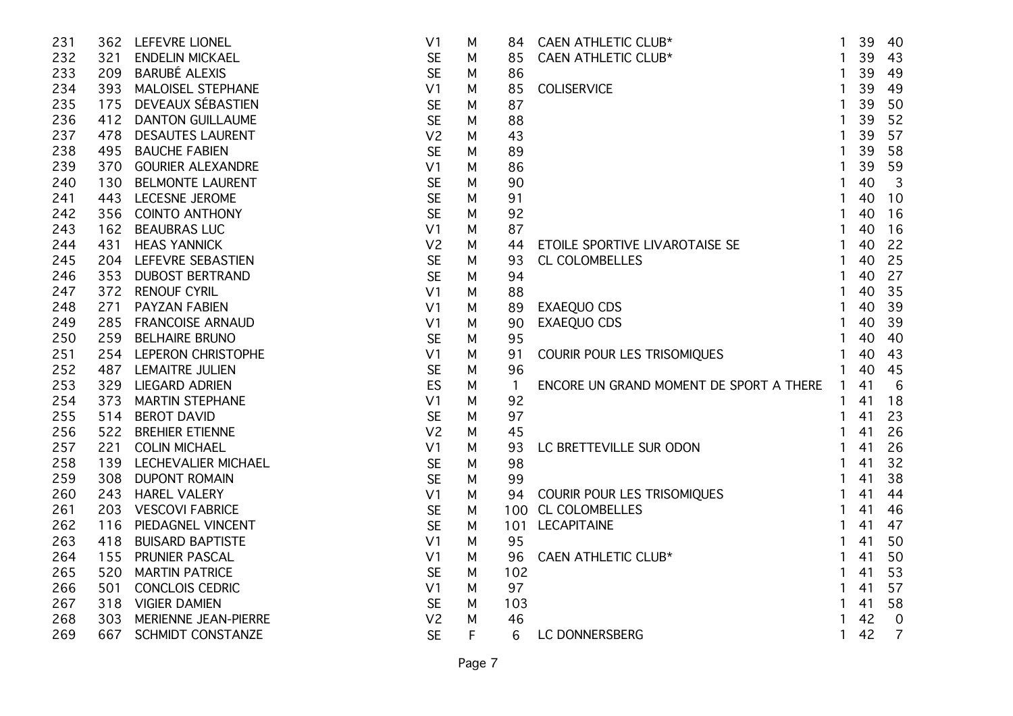| 231 |     | 362 LEFEVRE LIONEL       | V <sub>1</sub> | M | 84.            | CAEN ATHLETIC CLUB*                                                                                   | $\mathbf{1}$   | 39 | 40             |
|-----|-----|--------------------------|----------------|---|----------------|-------------------------------------------------------------------------------------------------------|----------------|----|----------------|
| 232 | 321 | <b>ENDELIN MICKAEL</b>   | <b>SE</b>      | М | 85             | CAEN ATHLETIC CLUB*                                                                                   | $\mathbf{1}$   | 39 | 43             |
| 233 |     | 209 BARUBÉ ALEXIS        | <b>SE</b>      | M | 86             |                                                                                                       | 1              | 39 | 49             |
| 234 |     | 393 MALOISEL STEPHANE    | V <sub>1</sub> | M | 85             | <b>COLISERVICE</b>                                                                                    | 1              | 39 | 49             |
| 235 |     | 175 DEVEAUX SÉBASTIEN    | <b>SE</b>      | M | 87             |                                                                                                       |                | 39 | 50             |
| 236 | 412 | <b>DANTON GUILLAUME</b>  | <b>SE</b>      | М | 88             |                                                                                                       |                | 39 | 52             |
| 237 | 478 | <b>DESAUTES LAURENT</b>  | V <sub>2</sub> | М | 43             |                                                                                                       |                | 39 | 57             |
| 238 | 495 | <b>BAUCHE FABIEN</b>     | <b>SE</b>      | M | 89             |                                                                                                       |                | 39 | 58             |
| 239 | 370 | <b>GOURIER ALEXANDRE</b> | V <sub>1</sub> | М | 86             |                                                                                                       | 1              | 39 | 59             |
| 240 | 130 | <b>BELMONTE LAURENT</b>  | <b>SE</b>      | М | 90             |                                                                                                       | 1              | 40 | $\mathbf{3}$   |
| 241 |     | 443 LECESNE JEROME       | <b>SE</b>      | М | 91             |                                                                                                       | 1              | 40 | 10             |
| 242 |     | 356 COINTO ANTHONY       | <b>SE</b>      | М | 92             |                                                                                                       | 1              | 40 | 16             |
| 243 |     | 162 BEAUBRAS LUC         | V <sub>1</sub> | М | 87             |                                                                                                       | $\mathbf{1}$   | 40 | 16             |
| 244 | 431 | <b>HEAS YANNICK</b>      | V <sub>2</sub> | M | 44             | ETOILE SPORTIVE LIVAROTAISE SE<br>CL COLOMBELLES<br>EXAEQUO CDS<br>EXAEQUO CDS                        | $\mathbf{1}$   | 40 | 22             |
| 245 |     | 204 LEFEVRE SEBASTIEN    | <b>SE</b>      | М | 93             |                                                                                                       | $\mathbf{1}$   | 40 | 25             |
| 246 | 353 | <b>DUBOST BERTRAND</b>   | <b>SE</b>      | М | 94             |                                                                                                       |                | 40 | 27             |
| 247 | 372 | <b>RENOUF CYRIL</b>      | V <sub>1</sub> | М | 88             |                                                                                                       |                | 40 | 35             |
| 248 | 271 | <b>PAYZAN FABIEN</b>     | V <sub>1</sub> | М | 89             |                                                                                                       | 1              | 40 | 39             |
| 249 |     | 285 FRANCOISE ARNAUD     | V <sub>1</sub> | М | 90             |                                                                                                       | 1              | 40 | 39             |
| 250 |     | 259 BELHAIRE BRUNO       | <b>SE</b>      | М | 95             |                                                                                                       | $\mathbf{1}$   | 40 | 40             |
| 251 |     | 254 LEPERON CHRISTOPHE   | V <sub>1</sub> | М | 91             | COURIR POUR LES TRISOMIQUES                                                                           | $\mathbf{1}$   | 40 | 43             |
| 252 |     | 487 LEMAITRE JULIEN      | <b>SE</b>      | М | 96             |                                                                                                       | $\mathbf{1}$   | 40 | 45             |
| 253 |     | 329 LIEGARD ADRIEN       | ES             | M | $\overline{1}$ | ENCORE UN GRAND MOMENT DE SPORT A THERE                                                               | $\overline{1}$ | 41 | 6              |
| 254 |     | 373 MARTIN STEPHANE      | V <sub>1</sub> | М | 92             |                                                                                                       | 1              | 41 | 18             |
| 255 |     | 514 BEROT DAVID          | <b>SE</b>      | М | 97             |                                                                                                       | 1              | 41 | 23             |
| 256 |     | 522 BREHIER ETIENNE      | V <sub>2</sub> | М | 45             |                                                                                                       | 1              | 41 | 26             |
| 257 | 221 | <b>COLIN MICHAEL</b>     | V <sub>1</sub> | М | 93             | LC BRETTEVILLE SUR ODON                                                                               | 1              | 41 | 26             |
| 258 |     | 139 LECHEVALIER MICHAEL  | <b>SE</b>      | М | 98             |                                                                                                       | 1              | 41 | 32             |
| 259 | 308 | <b>DUPONT ROMAIN</b>     | <b>SE</b>      | М | 99             |                                                                                                       | 1              | 41 | 38             |
| 260 | 243 | <b>HAREL VALERY</b>      | V <sub>1</sub> | М | 94             |                                                                                                       | 1              | 41 | 44             |
| 261 | 203 | <b>VESCOVI FABRICE</b>   | <b>SE</b>      | М | 100            |                                                                                                       | $\mathbf{1}$   | 41 | 46             |
| 262 | 116 | PIEDAGNEL VINCENT        | <b>SE</b>      | М | 101            |                                                                                                       | 1              | 41 | 47             |
| 263 | 418 | <b>BUISARD BAPTISTE</b>  | V <sub>1</sub> | М | 95             |                                                                                                       | 1              | 41 | 50             |
| 264 | 155 | PRUNIER PASCAL           | V <sub>1</sub> | М | 96             |                                                                                                       | $\mathbf{1}$   | 41 | 50             |
| 265 | 520 | <b>MARTIN PATRICE</b>    | <b>SE</b>      | M | 102            |                                                                                                       | $\mathbf{1}$   | 41 | 53             |
| 266 | 501 | <b>CONCLOIS CEDRIC</b>   | V <sub>1</sub> | M | 97             |                                                                                                       | 1              | 41 | 57             |
| 267 |     | 318 VIGIER DAMIEN        | <b>SE</b>      | М | 103            |                                                                                                       | 1              | 41 | 58             |
| 268 | 303 | MERIENNE JEAN-PIERRE     | V <sub>2</sub> | M | 46             |                                                                                                       | 1              | 42 | $\overline{0}$ |
| 269 | 667 | SCHMIDT CONSTANZE        | <b>SE</b>      | F | 6              | COURIR POUR LES TRISOMIQUES<br>CL COLOMBELLES<br>LECAPITAINE<br>CAEN ATHLETIC CLUB*<br>LC DONNERSBERG |                | 42 | $\overline{7}$ |
|     |     |                          |                |   |                |                                                                                                       |                |    |                |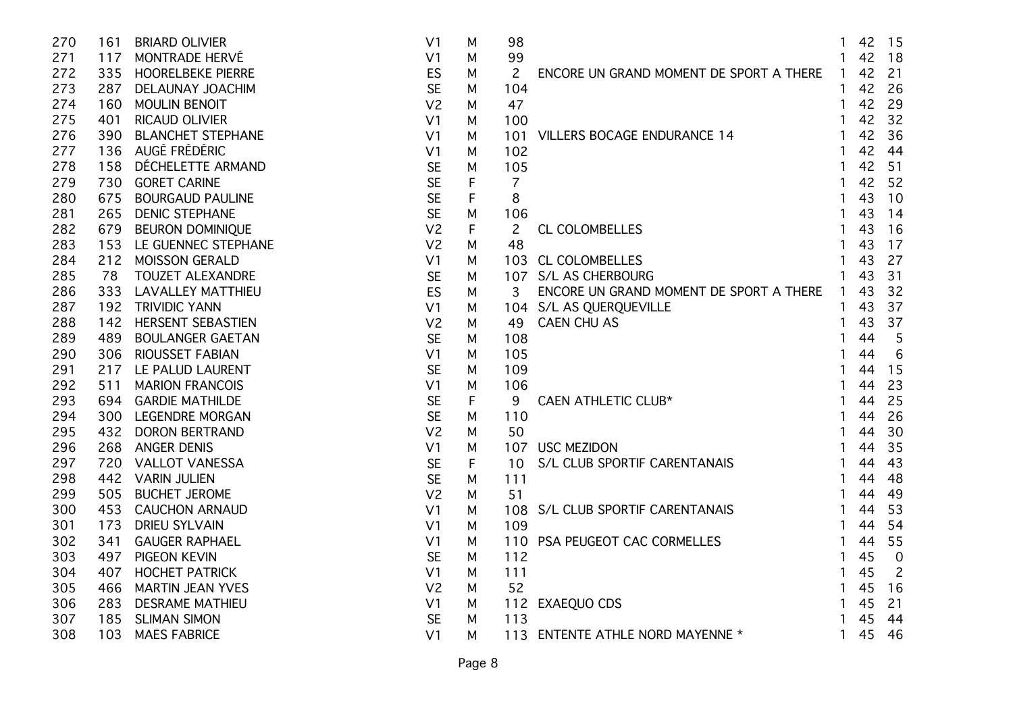| 270 | 161 | <b>BRIARD OLIVIER</b>    | V <sub>1</sub> | M | 98              |                                                                | $\mathbf{1}$   | 42 15 |                |
|-----|-----|--------------------------|----------------|---|-----------------|----------------------------------------------------------------|----------------|-------|----------------|
| 271 |     | 117 MONTRADE HERVÉ       | V <sub>1</sub> | М | 99              |                                                                | $\mathbf{1}$   | 42    | 18             |
| 272 |     | 335 HOORELBEKE PIERRE    | ES             | M | 2               | ENCORE UN GRAND MOMENT DE SPORT A THERE                        | $\overline{1}$ | 42    | 21             |
| 273 | 287 | DELAUNAY JOACHIM         | <b>SE</b>      | M | 104             |                                                                | $\mathbf{1}$   | 42    | 26             |
| 274 | 160 | <b>MOULIN BENOIT</b>     | V <sub>2</sub> | M | 47              |                                                                |                | 42    | 29             |
| 275 | 401 | <b>RICAUD OLIVIER</b>    | V <sub>1</sub> | м | 100             |                                                                | 1              | 42    | 32             |
| 276 | 390 | <b>BLANCHET STEPHANE</b> | V <sub>1</sub> | М | 101             | <b>VILLERS BOCAGE ENDURANCE 14</b>                             | $\mathbf{1}$   | 42    | 36             |
| 277 |     | 136 AUGÉ FRÉDÉRIC        | V <sub>1</sub> | M | 102             |                                                                |                | 42    | 44             |
| 278 | 158 | DÉCHELETTE ARMAND        | <b>SE</b>      | M | 105             |                                                                | 1              | 42    | 51             |
| 279 | 730 | <b>GORET CARINE</b>      | <b>SE</b>      | F | $\overline{7}$  |                                                                | 1              | 42    | 52             |
| 280 | 675 | <b>BOURGAUD PAULINE</b>  | <b>SE</b>      | F | 8               |                                                                | 1              | 43    | 10             |
| 281 | 265 | <b>DENIC STEPHANE</b>    | <b>SE</b>      | M | 106             |                                                                | $\mathbf{1}$   | 43    | 14             |
| 282 |     | 679 BEURON DOMINIQUE     | V <sub>2</sub> | F | $\overline{c}$  | <b>CL COLOMBELLES</b>                                          | $\mathbf{1}$   | 43    | 16             |
| 283 |     | 153 LE GUENNEC STEPHANE  | V <sub>2</sub> | M | 48              |                                                                | $\mathbf{1}$   | 43    | 17             |
| 284 |     | 212 MOISSON GERALD       | V <sub>1</sub> | M |                 | 103 CL COLOMBELLES                                             | $\mathbf{1}$   | 43    | 27             |
| 285 | 78  | <b>TOUZET ALEXANDRE</b>  | <b>SE</b>      | M |                 | 107 S/L AS CHERBOURG                                           |                | 43    | 31             |
| 286 |     | 333 LAVALLEY MATTHIEU    | ES             | м | 3               | ENCORE UN GRAND MOMENT DE SPORT A THERE                        | $\mathbf{1}$   | 43    | 32             |
| 287 |     | 192 TRIVIDIC YANN        | V <sub>1</sub> | M |                 | 104 S/L AS QUERQUEVILLE<br>UERQUEVILLE<br>U AS<br>HLETIC CLUB* | $\mathbf{1}$   | 43    | 37             |
| 288 |     | 142 HERSENT SEBASTIEN    | V <sub>2</sub> | M | 49              | <b>CAEN CHU AS</b>                                             |                | 43    | 37             |
| 289 | 489 | <b>BOULANGER GAETAN</b>  | <b>SE</b>      | M | 108             |                                                                | $\mathbf{1}$   | 44    | 5              |
| 290 |     | 306 RIOUSSET FABIAN      | V <sub>1</sub> | M | 105             |                                                                |                | 44    | $\,6$          |
| 291 |     | 217 LE PALUD LAURENT     | <b>SE</b>      | М | 109             |                                                                |                | 44    | 15             |
| 292 | 511 | <b>MARION FRANCOIS</b>   | V <sub>1</sub> | M | 106             |                                                                |                | 44    | 23             |
| 293 |     | 694 GARDIE MATHILDE      | <b>SE</b>      | F | 9               | CAEN ATHLETIC CLUB*                                            | $\mathbf{1}$   | 44    | 25             |
| 294 |     | 300 LEGENDRE MORGAN      | <b>SE</b>      | M | 110             |                                                                | $\mathbf{1}$   | 44    | 26             |
| 295 |     | 432 DORON BERTRAND       | V <sub>2</sub> | M | 50              |                                                                | $\mathbf{1}$   | 44    | 30             |
| 296 | 268 | <b>ANGER DENIS</b>       | V <sub>1</sub> | M | 107             | <b>USC MEZIDON</b>                                             | 1              | 44    | 35             |
| 297 | 720 | <b>VALLOT VANESSA</b>    | <b>SE</b>      | F | 10 <sup>°</sup> | S/L CLUB SPORTIF CARENTANAIS                                   |                | 44    | 43             |
| 298 | 442 | <b>VARIN JULIEN</b>      | <b>SE</b>      | M | 111             |                                                                |                | 44    | 48             |
| 299 | 505 | <b>BUCHET JEROME</b>     | V <sub>2</sub> | М | 51              |                                                                |                | 44    | 49             |
| 300 | 453 | <b>CAUCHON ARNAUD</b>    | V <sub>1</sub> | M | 108             | S/L CLUB SPORTIF CARENTANAIS                                   | $\mathbf{1}$   | 44    | 53             |
| 301 | 173 | <b>DRIEU SYLVAIN</b>     | V <sub>1</sub> | M | 109             |                                                                | $\mathbf{1}$   | 44    | 54             |
| 302 | 341 | <b>GAUGER RAPHAEL</b>    | V <sub>1</sub> | M | 110             | PSA PEUGEOT CAC CORMELLES                                      | $\mathbf{1}$   | 44    | 55             |
| 303 |     | 497 PIGEON KEVIN         | <b>SE</b>      | M | 112             |                                                                | 1              | 45    | $\overline{0}$ |
| 304 | 407 | <b>HOCHET PATRICK</b>    | V <sub>1</sub> | M | 111             |                                                                | 1              | 45    | $\overline{c}$ |
| 305 |     | 466 MARTIN JEAN YVES     | V <sub>2</sub> | M | 52              |                                                                | $\mathbf{1}$   | 45    | 16             |
| 306 | 283 | <b>DESRAME MATHIEU</b>   | V <sub>1</sub> | M |                 | 112 EXAEQUO CDS                                                | $\mathbf{1}$   | 45    | 21             |
| 307 | 185 | <b>SLIMAN SIMON</b>      | <b>SE</b>      | M | 113             |                                                                | 1              | 45    | 44             |
| 308 | 103 | <b>MAES FABRICE</b>      | V <sub>1</sub> | М |                 | 113 ENTENTE ATHLE NORD MAYENNE *                               | 1              | 45    | 46             |
|     |     |                          |                |   |                 |                                                                |                |       |                |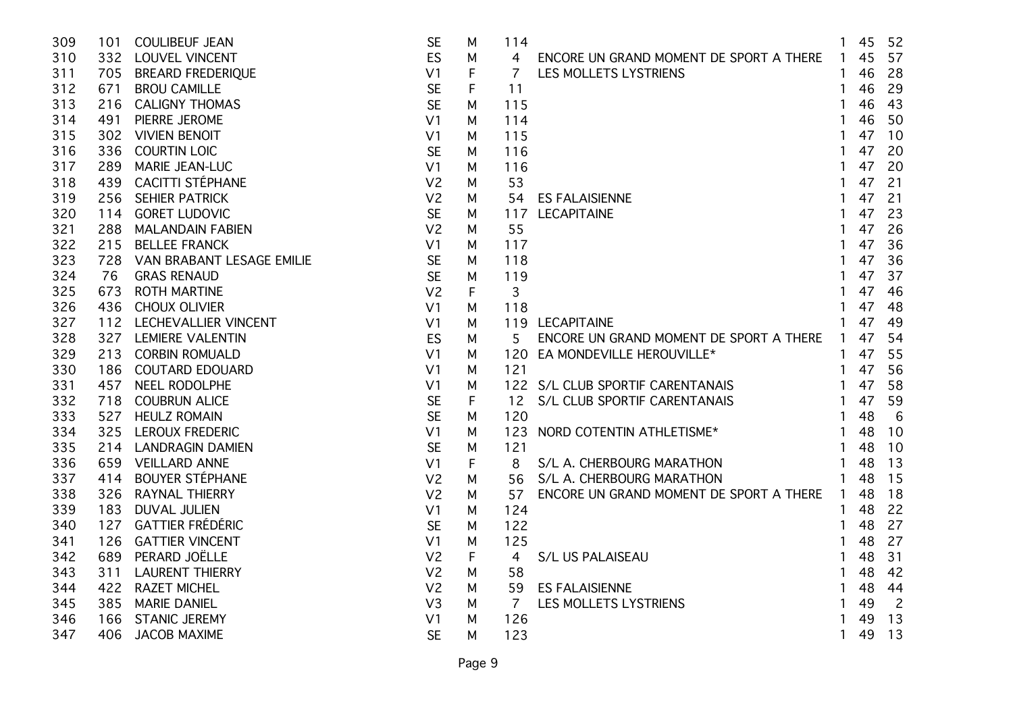| 309 |     | 101 COULIBEUF JEAN            | <b>SE</b>      | M |   | 114            |                                           | $\mathbf{1}$   | 45 | 52             |
|-----|-----|-------------------------------|----------------|---|---|----------------|-------------------------------------------|----------------|----|----------------|
| 310 |     | 332 LOUVEL VINCENT            | <b>ES</b>      | M |   | 4              | ENCORE UN GRAND MOMENT DE SPORT A THERE 1 |                | 45 | 57             |
| 311 |     | 705 BREARD FREDERIQUE         | V <sub>1</sub> | F |   | $\overline{7}$ | LES MOLLETS LYSTRIENS                     | $\mathbf{1}$   | 46 | 28             |
| 312 | 671 | <b>BROU CAMILLE</b>           | <b>SE</b>      | F |   | 11             |                                           |                | 46 | 29             |
| 313 | 216 | <b>CALIGNY THOMAS</b>         | <b>SE</b>      | M |   | 115            |                                           |                | 46 | 43             |
| 314 | 491 | PIERRE JEROME                 | V <sub>1</sub> | м |   | 114            |                                           |                | 46 | 50             |
| 315 | 302 | <b>VIVIEN BENOIT</b>          | V <sub>1</sub> | м |   | 115            |                                           |                | 47 | 10             |
| 316 | 336 | <b>COURTIN LOIC</b>           | <b>SE</b>      | м |   | 116            |                                           |                | 47 | 20             |
| 317 | 289 | <b>MARIE JEAN-LUC</b>         | V <sub>1</sub> | м |   | 116            |                                           | 1              | 47 | 20             |
| 318 |     | 439 CACITTI STÉPHANE          | V <sub>2</sub> | M |   | 53             |                                           | 1              | 47 | 21             |
| 319 | 256 | <b>SEHIER PATRICK</b>         | V <sub>2</sub> | M |   | 54             | <b>ES FALAISIENNE</b>                     | $\mathbf{1}$   | 47 | 21             |
| 320 |     | 114 GORET LUDOVIC             | <b>SE</b>      | M |   |                | 117 LECAPITAINE                           | 1              | 47 | 23             |
| 321 |     | 288 MALANDAIN FABIEN          | V <sub>2</sub> | М |   | 55             |                                           | $\mathbf{1}$   | 47 | 26             |
| 322 | 215 | <b>BELLEE FRANCK</b>          | V <sub>1</sub> | м |   | 117            |                                           | $\mathbf{1}$   | 47 | 36             |
| 323 |     | 728 VAN BRABANT LESAGE EMILIE | <b>SE</b>      | M |   | 118            |                                           | $\mathbf{1}$   | 47 | 36             |
| 324 | 76  | <b>GRAS RENAUD</b>            | <b>SE</b>      | M |   | 119            |                                           | 1              | 47 | 37             |
| 325 | 673 | <b>ROTH MARTINE</b>           | V <sub>2</sub> | F |   | 3              |                                           |                | 47 | 46             |
| 326 | 436 | <b>CHOUX OLIVIER</b>          | V <sub>1</sub> | М |   | 118            |                                           |                | 47 | 48             |
| 327 |     | 112 LECHEVALLIER VINCENT      | V <sub>1</sub> | M |   |                | 119 LECAPITAINE                           |                | 47 | 49             |
| 328 |     | 327 LEMIERE VALENTIN          | ES             | M |   | 5.             | ENCORE UN GRAND MOMENT DE SPORT A THERE   | $\overline{1}$ | 47 | 54             |
| 329 |     | 213 CORBIN ROMUALD            | V <sub>1</sub> | M |   |                | 120 EA MONDEVILLE HEROUVILLE*             | $\mathbf{1}$   | 47 | 55             |
| 330 |     | 186 COUTARD EDOUARD           | V <sub>1</sub> | M |   | 121            |                                           | $\mathbf{1}$   | 47 | 56             |
| 331 |     | 457 NEEL RODOLPHE             | V <sub>1</sub> | M |   |                | 122 S/L CLUB SPORTIF CARENTANAIS          | $\mathbf{1}$   | 47 | 58             |
| 332 |     | 718 COUBRUN ALICE             | <b>SE</b>      | F |   | 12             | S/L CLUB SPORTIF CARENTANAIS              | $\mathbf{1}$   | 47 | 59             |
| 333 |     | 527 HEULZ ROMAIN              | <b>SE</b>      | М |   | 120            |                                           | $\mathbf{1}$   | 48 | 6              |
| 334 |     | 325 LEROUX FREDERIC           | V <sub>1</sub> | M |   |                | 123 NORD COTENTIN ATHLETISME*             | $\mathbf{1}$   | 48 | 10             |
| 335 |     | 214 LANDRAGIN DAMIEN          | <b>SE</b>      | M |   | 121            |                                           | $\mathbf{1}$   | 48 | 10             |
| 336 |     | 659 VEILLARD ANNE             | V <sub>1</sub> | F |   | 8              | S/L A. CHERBOURG MARATHON                 | $\mathbf{1}$   | 48 | 13             |
| 337 | 414 | <b>BOUYER STÉPHANE</b>        | V <sub>2</sub> |   | м | 56             | S/L A. CHERBOURG MARATHON                 | $\mathbf{1}$   | 48 | 15             |
| 338 | 326 | <b>RAYNAL THIERRY</b>         | V <sub>2</sub> | м |   | 57             | ENCORE UN GRAND MOMENT DE SPORT A THERE   | $\mathbf{1}$   | 48 | 18             |
| 339 | 183 | <b>DUVAL JULIEN</b>           | V <sub>1</sub> | M |   | 124            |                                           |                | 48 | 22             |
| 340 | 127 | <b>GATTIER FRÉDÉRIC</b>       | <b>SE</b>      | M |   | 122            |                                           | 1              | 48 | 27             |
| 341 | 126 | <b>GATTIER VINCENT</b>        | V <sub>1</sub> | M |   | 125            |                                           |                | 48 | 27             |
| 342 |     | 689 PERARD JOËLLE             | V <sub>2</sub> | F |   | 4              | S/L US PALAISEAU                          | 1              | 48 | 31             |
| 343 | 311 | <b>LAURENT THIERRY</b>        | V <sub>2</sub> | M |   | 58             |                                           | $\mathbf{1}$   | 48 | 42             |
| 344 |     | 422 RAZET MICHEL              | V <sub>2</sub> | М |   | 59             | <b>ES FALAISIENNE</b>                     | 1              | 48 | 44             |
| 345 |     | 385 MARIE DANIEL              | V <sub>3</sub> | M |   | $\overline{7}$ | LES MOLLETS LYSTRIENS                     | 1              | 49 | $\overline{c}$ |
| 346 |     | 166 STANIC JEREMY             | V <sub>1</sub> | м |   | 126            |                                           | 1              | 49 | 13             |
| 347 |     | 406 JACOB MAXIME              | <b>SE</b>      | M |   | 123            |                                           | $\mathbf{1}$   | 49 | 13             |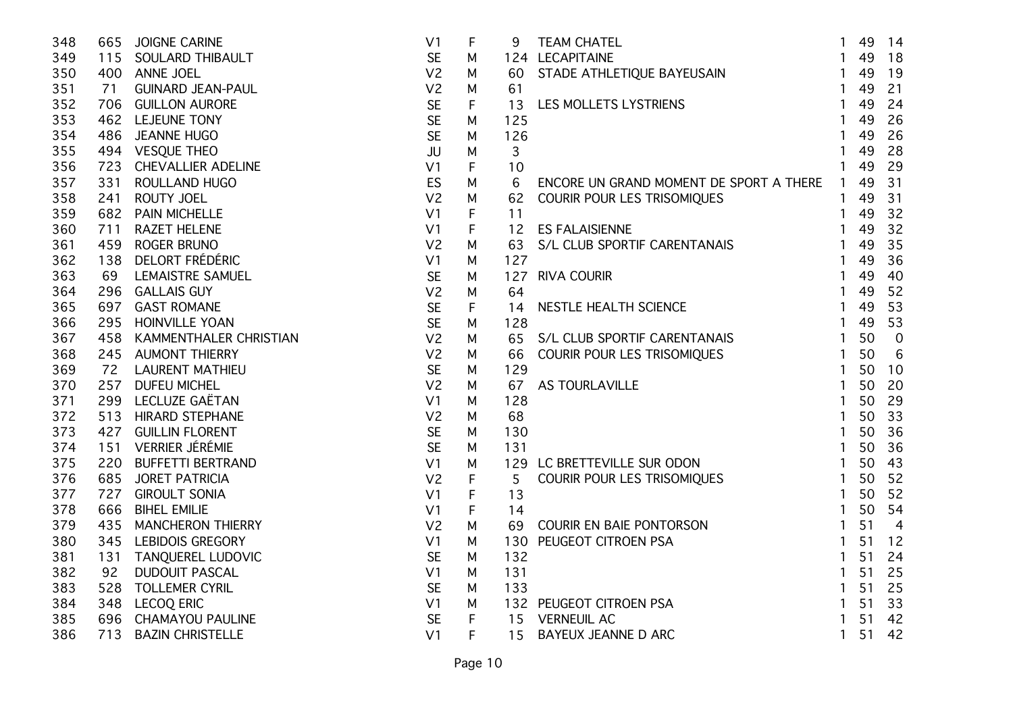| 348 | 665 | <b>JOIGNE CARINE</b>       | V <sub>1</sub> | F           |                 |                                                                         | $\mathbf{1}$   | 49 | 14             |
|-----|-----|----------------------------|----------------|-------------|-----------------|-------------------------------------------------------------------------|----------------|----|----------------|
| 349 |     | 115 SOULARD THIBAULT       | <b>SE</b>      | М           |                 | 124 LECAPITAINE                                                         | $\mathbf{1}$   | 49 | 18             |
| 350 |     | 400 ANNE JOEL              | V <sub>2</sub> | M           |                 | 9 TEAM CHATEL<br>124 LECAPITAINE<br>60 STADE ATHLETIQUE BAYEUSAIN<br>61 | $\mathbf{1}$   | 49 | 19             |
| 351 | 71  | <b>GUINARD JEAN-PAUL</b>   | V <sub>2</sub> | М           | 61              |                                                                         | $\mathbf{1}$   | 49 | 21             |
| 352 |     | 706 GUILLON AURORE         | <b>SE</b>      | F           | 13              | LES MOLLETS LYSTRIENS                                                   | $\mathbf{1}$   | 49 | 24             |
| 353 |     | 462 LEJEUNE TONY           | <b>SE</b>      | M           | 125             |                                                                         | $\mathbf{1}$   | 49 | 26             |
| 354 | 486 | <b>JEANNE HUGO</b>         | <b>SE</b>      | M           | 126             |                                                                         | $\mathbf{1}$   | 49 | 26             |
| 355 |     | 494 VESQUE THEO            | JU             | M           | 3               |                                                                         | $\mathbf{1}$   | 49 | 28             |
| 356 | 723 | <b>CHEVALLIER ADELINE</b>  | V <sub>1</sub> | F           | 10              |                                                                         | $\mathbf{1}$   | 49 | 29             |
| 357 | 331 | ROULLAND HUGO              | ES             | M           | 6               | ENCORE UN GRAND MOMENT DE SPORT A THERE                                 | $\mathbf{1}$   | 49 | 31             |
| 358 | 241 | ROUTY JOEL                 | V <sub>2</sub> | M           | 62              | COURIR POUR LES TRISOMIQUES                                             | $\mathbf{1}$   | 49 | 31             |
| 359 |     | 682 PAIN MICHELLE          | V <sub>1</sub> | F           | 11              | ES FALAISIENNE<br>S/L CLUB SPORTIF CARENTANAIS                          | $\mathbf{1}$   | 49 | 32             |
| 360 | 711 | <b>RAZET HELENE</b>        | V <sub>1</sub> | F           | 12 <sup>2</sup> |                                                                         | $\mathbf{1}$   | 49 | 32             |
| 361 |     | 459 ROGER BRUNO            | V <sub>2</sub> | M           | 63              |                                                                         | $\mathbf{1}$   | 49 | 35             |
| 362 |     | 138 DELORT FRÉDÉRIC        | V <sub>1</sub> | M           | 127             |                                                                         | $\mathbf{1}$   | 49 | 36             |
| 363 | 69  | LEMAISTRE SAMUEL           | <b>SE</b>      | M           |                 | 127 RIVA COURIR                                                         | $\mathbf{1}$   | 49 | 40             |
| 364 |     | 296 GALLAIS GUY            | V <sub>2</sub> | M           | 64              |                                                                         | $\mathbf{1}$   | 49 | 52             |
| 365 |     | 697 GAST ROMANE            | <b>SE</b>      | F           | 14              | NESTLE HEALTH SCIENCE                                                   | $\mathbf{1}$   | 49 | 53             |
| 366 |     | 295 HOINVILLE YOAN         | <b>SE</b>      | M           | 128             |                                                                         | $\mathbf{1}$   | 49 | 53             |
| 367 |     | 458 KAMMENTHALER CHRISTIAN | V <sub>2</sub> | M           | 65              | S/L CLUB SPORTIF CARENTANAIS                                            | $\mathbf{1}$   | 50 | $\overline{0}$ |
| 368 |     | 245 AUMONT THIERRY         | V <sub>2</sub> | M           | 66              | COURIR POUR LES TRISOMIQUES                                             | $\mathbf{1}$   | 50 | 6              |
| 369 |     | 72 LAURENT MATHIEU         | <b>SE</b>      | M           | 129             | LAVILLE<br>TEVILLE SUR ODON<br>CUPLES TRIODURES                         | $\mathbf{1}$   | 50 | 10             |
| 370 |     | 257 DUFEU MICHEL           | V <sub>2</sub> | M           | 67              | AS TOURLAVILLE                                                          | $\mathbf{1}$   | 50 | 20             |
| 371 |     | 299 LECLUZE GAËTAN         | V <sub>1</sub> | M           | 128             |                                                                         | $\mathbf{1}$   | 50 | 29             |
| 372 |     | 513 HIRARD STEPHANE        | V <sub>2</sub> | М           | 68              |                                                                         | $\mathbf{1}$   | 50 | 33             |
| 373 |     | 427 GUILLIN FLORENT        | <b>SE</b>      | М           | 130             |                                                                         | $\mathbf{1}$   | 50 | 36             |
| 374 |     | 151 VERRIER JÉRÉMIE        | <b>SE</b>      | M           | 131             |                                                                         | $\mathbf{1}$   | 50 | 36             |
| 375 |     | 220 BUFFETTI BERTRAND      | V <sub>1</sub> | M           | 129             | LC BRETTEVILLE SUR ODON                                                 | $\overline{1}$ | 50 | 43             |
| 376 |     | 685 JORET PATRICIA         | V <sub>2</sub> | $\mathsf F$ | 5               | COURIR POUR LES TRISOMIQUES                                             | $\mathbf{1}$   | 50 | 52             |
| 377 | 727 | <b>GIROULT SONIA</b>       | V <sub>1</sub> | F           | 13              |                                                                         | $\mathbf{1}$   | 50 | 52             |
| 378 | 666 | <b>BIHEL EMILIE</b>        | V <sub>1</sub> | F           | 14              |                                                                         | $\mathbf{1}$   | 50 | 54             |
| 379 | 435 | <b>MANCHERON THIERRY</b>   | V <sub>2</sub> | M           | 69              | COURIR EN BAIE PONTORSON                                                | $\mathbf{1}$   | 51 | $\overline{4}$ |
| 380 |     | 345 LEBIDOIS GREGORY       | V <sub>1</sub> | M           | 130             | PEUGEOT CITROEN PSA                                                     | $\mathbf{1}$   | 51 | 12             |
| 381 | 131 | <b>TANQUEREL LUDOVIC</b>   | <b>SE</b>      | M           | 132             |                                                                         | $\mathbf{1}$   | 51 | 24             |
| 382 | 92  | <b>DUDOUIT PASCAL</b>      | V <sub>1</sub> | M           | 131             |                                                                         | $\mathbf{1}$   | 51 | 25             |
| 383 | 528 | <b>TOLLEMER CYRIL</b>      | <b>SE</b>      | М           | 133             |                                                                         | $\mathbf{1}$   | 51 | 25             |
| 384 |     | 348 LECOQ ERIC             | V1             | М           |                 | 132 PEUGEOT CITROEN PSA                                                 | $\mathbf{1}$   | 51 | 33             |
| 385 |     | 696 CHAMAYOU PAULINE       | <b>SE</b>      | F           |                 | 15 VERNEUIL AC                                                          | $\mathbf{1}$   | 51 | 42             |
| 386 | 713 | <b>BAZIN CHRISTELLE</b>    | V <sub>1</sub> | F           | 15              | BAYEUX JEANNE D ARC                                                     | $\mathbf{1}$   | 51 | 42             |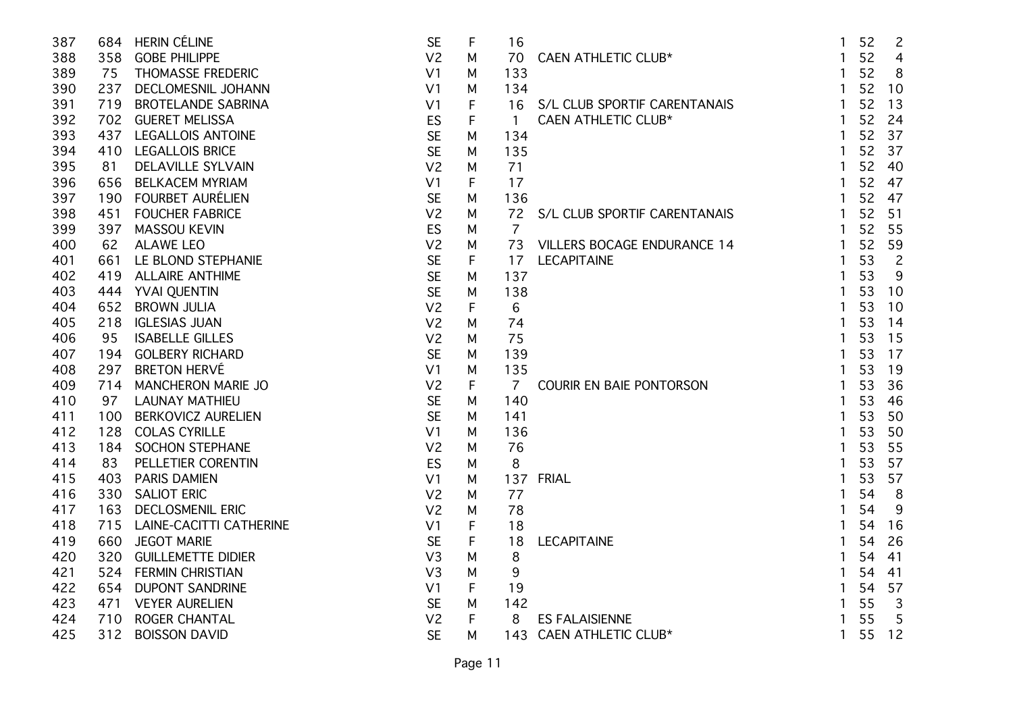| 387 |     | 684 HERIN CÉLINE            | <b>SE</b>      | F | 16             |                                    | $\mathbf{1}$ | 52 | $\overline{2}$ |
|-----|-----|-----------------------------|----------------|---|----------------|------------------------------------|--------------|----|----------------|
| 388 |     | 358 GOBE PHILIPPE           | V <sub>2</sub> | M | 70             | <b>CAEN ATHLETIC CLUB*</b>         | $\mathbf{1}$ | 52 | $\overline{4}$ |
| 389 |     | 75 THOMASSE FREDERIC        | V <sub>1</sub> | M | 133            |                                    | $\mathbf{1}$ | 52 | 8              |
| 390 |     | 237 DECLOMESNIL JOHANN      | V <sub>1</sub> | M | 134            |                                    | $\mathbf{1}$ | 52 | 10             |
| 391 | 719 | <b>BROTELANDE SABRINA</b>   | V <sub>1</sub> | F | 16             | S/L CLUB SPORTIF CARENTANAIS       | $\mathbf{1}$ | 52 | 13             |
| 392 |     | 702 GUERET MELISSA          | <b>ES</b>      | F | $\mathbf{1}$   | <b>CAEN ATHLETIC CLUB*</b>         | $\mathbf{1}$ | 52 | 24             |
| 393 |     | 437 LEGALLOIS ANTOINE       | <b>SE</b>      | М | 134            |                                    | $\mathbf{1}$ | 52 | 37             |
| 394 |     | 410 LEGALLOIS BRICE         | <b>SE</b>      | М | 135            |                                    | $\mathbf{1}$ | 52 | 37             |
| 395 | 81  | <b>DELAVILLE SYLVAIN</b>    | V <sub>2</sub> | М | 71             |                                    |              | 52 | 40             |
| 396 | 656 | <b>BELKACEM MYRIAM</b>      | V <sub>1</sub> | F | 17             |                                    | $\mathbf{1}$ | 52 | 47             |
| 397 |     | 190 FOURBET AURÉLIEN        | <b>SE</b>      | M | 136            |                                    | $\mathbf{1}$ | 52 | 47             |
| 398 | 451 | <b>FOUCHER FABRICE</b>      | V <sub>2</sub> | M | 72             | S/L CLUB SPORTIF CARENTANAIS       | $\mathbf{1}$ | 52 | 51             |
| 399 | 397 | <b>MASSOU KEVIN</b>         | <b>ES</b>      | М | $\overline{7}$ |                                    | $\mathbf{1}$ | 52 | 55             |
| 400 | 62  | <b>ALAWE LEO</b>            | V <sub>2</sub> | М | 73             | <b>VILLERS BOCAGE ENDURANCE 14</b> | $\mathbf{1}$ | 52 | 59             |
| 401 |     | 661 LE BLOND STEPHANIE      | <b>SE</b>      | F | 17             | <b>LECAPITAINE</b>                 | $\mathbf{1}$ | 53 | $\overline{2}$ |
| 402 |     | 419 ALLAIRE ANTHIME         | <b>SE</b>      | M | 137            |                                    | $\mathbf{1}$ | 53 | 9              |
| 403 |     | 444 YVAI QUENTIN            | <b>SE</b>      | M | 138            |                                    | $\mathbf{1}$ | 53 | 10             |
| 404 | 652 | <b>BROWN JULIA</b>          | V <sub>2</sub> | F | 6              |                                    | 1            | 53 | 10             |
| 405 | 218 | <b>IGLESIAS JUAN</b>        | V <sub>2</sub> | М | 74             |                                    |              | 53 | 14             |
| 406 | 95  | <b>ISABELLE GILLES</b>      | V <sub>2</sub> | м | 75             |                                    |              | 53 | 15             |
| 407 |     | 194 GOLBERY RICHARD         | <b>SE</b>      | м | 139            |                                    |              | 53 | 17             |
| 408 | 297 | <b>BRETON HERVÉ</b>         | V <sub>1</sub> | M | 135            |                                    | $\mathbf{1}$ | 53 | 19             |
| 409 |     | 714 MANCHERON MARIE JO      | V <sub>2</sub> | F | $\overline{7}$ | COURIR EN BAIE PONTORSON           | $\mathbf{1}$ | 53 | 36             |
| 410 | 97  | <b>LAUNAY MATHIEU</b>       | <b>SE</b>      | M | 140            |                                    |              | 53 | 46             |
| 411 |     | 100 BERKOVICZ AURELIEN      | <b>SE</b>      | M | 141            |                                    | 1            | 53 | 50             |
| 412 |     | 128 COLAS CYRILLE           | V <sub>1</sub> | М | 136            |                                    |              | 53 | 50             |
| 413 |     | 184 SOCHON STEPHANE         | V <sub>2</sub> | M | 76             |                                    | $\mathbf{1}$ | 53 | 55             |
| 414 | 83  | PELLETIER CORENTIN          | <b>ES</b>      | M | 8              |                                    | 1            | 53 | 57             |
| 415 | 403 | <b>PARIS DAMIEN</b>         | V <sub>1</sub> | M | 137            | <b>FRIAL</b>                       |              | 53 | 57             |
| 416 | 330 | <b>SALIOT ERIC</b>          | V <sub>2</sub> | M | 77             |                                    |              | 54 | 8              |
| 417 | 163 | <b>DECLOSMENIL ERIC</b>     | V <sub>2</sub> | M | 78             |                                    |              | 54 | 9              |
| 418 |     | 715 LAINE-CACITTI CATHERINE | V <sub>1</sub> | F | 18             |                                    |              | 54 | 16             |
| 419 | 660 | <b>JEGOT MARIE</b>          | <b>SE</b>      | F | 18             | <b>LECAPITAINE</b>                 |              | 54 | 26             |
| 420 | 320 | <b>GUILLEMETTE DIDIER</b>   | V <sub>3</sub> | M | 8              |                                    |              | 54 | 41             |
| 421 |     | 524 FERMIN CHRISTIAN        | V <sub>3</sub> | M | $9\,$          |                                    |              | 54 | 41             |
| 422 | 654 | <b>DUPONT SANDRINE</b>      | V <sub>1</sub> | F | 19             |                                    | 1            | 54 | 57             |
| 423 | 471 | <b>VEYER AURELIEN</b>       | <b>SE</b>      | M | 142            |                                    | 1            | 55 | $\overline{3}$ |
| 424 | 710 | <b>ROGER CHANTAL</b>        | V <sub>2</sub> | F | 8              | <b>ES FALAISIENNE</b>              |              | 55 | 5              |
| 425 | 312 | <b>BOISSON DAVID</b>        | <b>SE</b>      | М | 143            | CAEN ATHLETIC CLUB*                | $\mathbf{1}$ | 55 | 12             |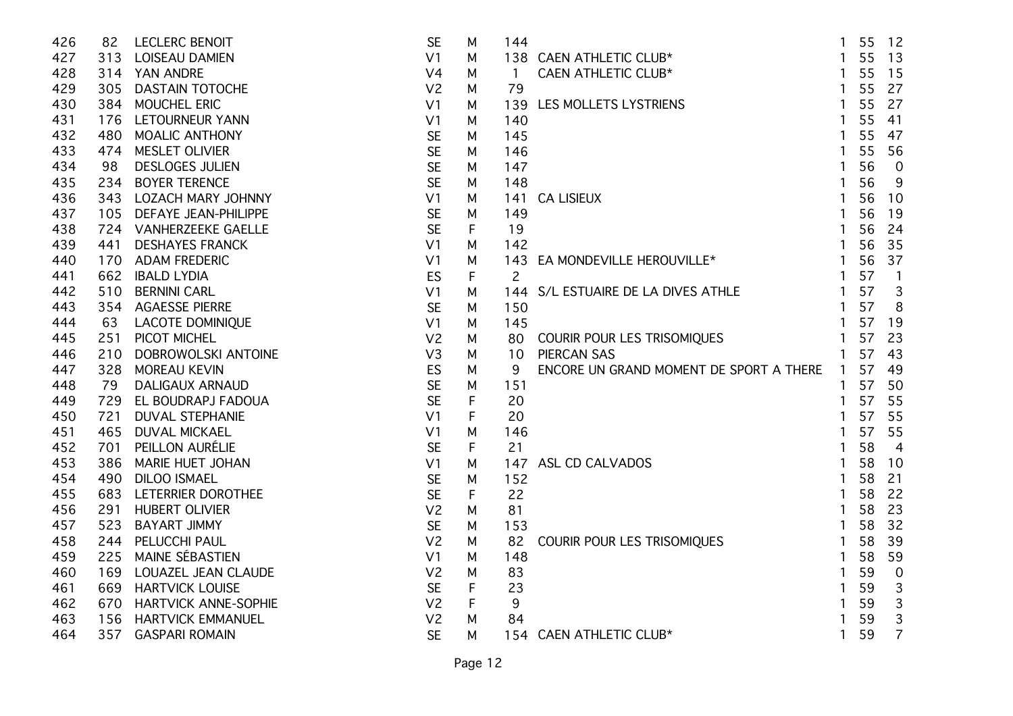| 426 | 82  | <b>LECLERC BENOIT</b>       | <b>SE</b>      | M | 144            |                                           |                | 55 | 12             |
|-----|-----|-----------------------------|----------------|---|----------------|-------------------------------------------|----------------|----|----------------|
| 427 |     | 313 LOISEAU DAMIEN          | V <sub>1</sub> | М |                | 138 CAEN ATHLETIC CLUB*                   |                | 55 | 13             |
| 428 |     | 314 YAN ANDRE               | V <sub>4</sub> | M | $\overline{1}$ | <b>CAEN ATHLETIC CLUB*</b>                | $\mathbf{1}$   | 55 | 15             |
| 429 |     | 305 DASTAIN TOTOCHE         | V <sub>2</sub> | M | 79             |                                           | $\mathbf{1}$   | 55 | 27             |
| 430 | 384 | MOUCHEL ERIC                | V <sub>1</sub> | M | 139            | LES MOLLETS LYSTRIENS                     | $\mathbf{1}$   | 55 | 27             |
| 431 |     | 176 LETOURNEUR YANN         | V <sub>1</sub> | M | 140            |                                           | $\mathbf{1}$   | 55 | 41             |
| 432 | 480 | <b>MOALIC ANTHONY</b>       | <b>SE</b>      | м | 145            |                                           | 1              | 55 | 47             |
| 433 | 474 | MESLET OLIVIER              | <b>SE</b>      | м | 146            |                                           |                | 55 | 56             |
| 434 | 98  | <b>DESLOGES JULIEN</b>      | <b>SE</b>      | м | 147            |                                           |                | 56 | $\overline{0}$ |
| 435 | 234 | <b>BOYER TERENCE</b>        | <b>SE</b>      | M | 148            |                                           |                | 56 | 9              |
| 436 | 343 | LOZACH MARY JOHNNY          | V <sub>1</sub> | M | 141            | <b>CA LISIEUX</b>                         |                | 56 | 10             |
| 437 | 105 | <b>DEFAYE JEAN-PHILIPPE</b> | <b>SE</b>      | M | 149            |                                           |                | 56 | 19             |
| 438 |     | 724 VANHERZEEKE GAELLE      | <b>SE</b>      | F | 19             |                                           | 1              | 56 | 24             |
| 439 | 441 | <b>DESHAYES FRANCK</b>      | V <sub>1</sub> | M | 142            |                                           | $\mathbf{1}$   | 56 | 35             |
| 440 | 170 | <b>ADAM FREDERIC</b>        | V <sub>1</sub> | M | 143            | EA MONDEVILLE HEROUVILLE*                 | $\mathbf{1}$   | 56 | 37             |
| 441 | 662 | <b>IBALD LYDIA</b>          | ES             | F | $\overline{2}$ |                                           | $\mathbf{1}$   | 57 | $\mathbf{1}$   |
| 442 | 510 | <b>BERNINI CARL</b>         | V <sub>1</sub> | М |                | 144 S/L ESTUAIRE DE LA DIVES ATHLE        | $\mathbf{1}$   | 57 | 3              |
| 443 | 354 | <b>AGAESSE PIERRE</b>       | <b>SE</b>      | M | 150            |                                           | $\mathbf{1}$   | 57 | 8              |
| 444 | 63  | <b>LACOTE DOMINIQUE</b>     | V <sub>1</sub> | M | 145            |                                           | $\mathbf{1}$   | 57 | 19             |
| 445 | 251 | PICOT MICHEL                | V <sub>2</sub> | M | 80             | COURIR POUR LES TRISOMIQUES               | $\overline{1}$ | 57 | 23             |
| 446 | 210 | DOBROWOLSKI ANTOINE         | V <sub>3</sub> | M | 10             | <b>PIERCAN SAS</b>                        | $\mathbf{1}$   | 57 | 43             |
| 447 |     | 328 MOREAU KEVIN            | ES             | M | 9              | ENCORE UN GRAND MOMENT DE SPORT A THERE 1 |                | 57 | 49             |
| 448 | 79  | <b>DALIGAUX ARNAUD</b>      | <b>SE</b>      | M | 151            |                                           |                | 57 | 50             |
| 449 |     | 729 EL BOUDRAPJ FADOUA      | <b>SE</b>      | F | 20             |                                           | 1              | 57 | 55             |
| 450 | 721 | <b>DUVAL STEPHANIE</b>      | V <sub>1</sub> | F | 20             |                                           | $\mathbf{1}$   | 57 | 55             |
| 451 |     | 465 DUVAL MICKAEL           | V <sub>1</sub> | M | 146            |                                           | 1              | 57 | 55             |
| 452 | 701 | PEILLON AURÉLIE             | <b>SE</b>      | F | 21             |                                           |                | 58 | $\overline{4}$ |
| 453 | 386 | MARIE HUET JOHAN            | V <sub>1</sub> | M | 147            | ASL CD CALVADOS                           |                | 58 | 10             |
| 454 | 490 | <b>DILOO ISMAEL</b>         | <b>SE</b>      | M | 152            |                                           |                | 58 | 21             |
| 455 | 683 | LETERRIER DOROTHEE          | <b>SE</b>      | F | 22             |                                           |                | 58 | 22             |
| 456 | 291 | HUBERT OLIVIER              | V <sub>2</sub> | M | 81             |                                           | 1              | 58 | 23             |
| 457 | 523 | <b>BAYART JIMMY</b>         | <b>SE</b>      | M | 153            |                                           | 1              | 58 | 32             |
| 458 | 244 | PELUCCHI PAUL               | V <sub>2</sub> | M | 82             | COURIR POUR LES TRISOMIQUES               | $\mathbf{1}$   | 58 | 39             |
| 459 | 225 | MAINE SÉBASTIEN             | V <sub>1</sub> | M | 148            |                                           | 1              | 58 | 59             |
| 460 |     | 169 LOUAZEL JEAN CLAUDE     | V <sub>2</sub> | M | 83             |                                           |                | 59 | $\overline{0}$ |
| 461 | 669 | <b>HARTVICK LOUISE</b>      | <b>SE</b>      | F | 23             |                                           | 1              | 59 | 3              |
| 462 | 670 | <b>HARTVICK ANNE-SOPHIE</b> | V <sub>2</sub> | F | 9              |                                           |                | 59 | 3              |
| 463 | 156 | <b>HARTVICK EMMANUEL</b>    | V <sub>2</sub> | м | 84             |                                           |                | 59 | 3              |
| 464 | 357 | <b>GASPARI ROMAIN</b>       | <b>SE</b>      | м |                | 154 CAEN ATHLETIC CLUB*                   |                | 59 | $\overline{7}$ |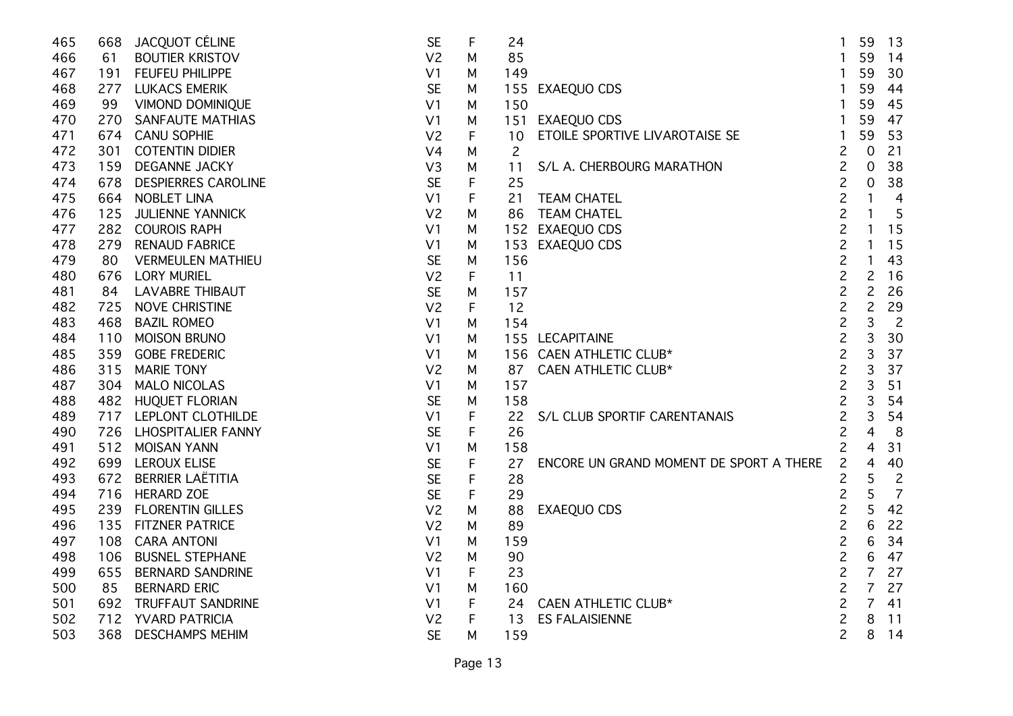| 465 |     | 668 JACQUOT CÉLINE         | <b>SE</b>      | F | 24             |                                         | $\mathbf{1}$   | 59       | 13             |
|-----|-----|----------------------------|----------------|---|----------------|-----------------------------------------|----------------|----------|----------------|
| 466 | 61  | <b>BOUTIER KRISTOV</b>     | V <sub>2</sub> | M | 85             |                                         |                | 59       | 14             |
| 467 |     | 191 FEUFEU PHILIPPE        | V <sub>1</sub> | M | 149            |                                         |                | 59       | 30             |
| 468 |     | 277 LUKACS EMERIK          | <b>SE</b>      | M | 155            | <b>EXAEQUO CDS</b>                      | $\mathbf{1}$   | 59       | 44             |
| 469 | 99  | VIMOND DOMINIQUE           | V <sub>1</sub> | M | 150            |                                         |                | 59       | 45             |
| 470 | 270 | <b>SANFAUTE MATHIAS</b>    | V <sub>1</sub> | M | 151            | EXAEQUO CDS                             |                | 59       | 47             |
| 471 | 674 | <b>CANU SOPHIE</b>         | V <sub>2</sub> | F | 10             | ETOILE SPORTIVE LIVAROTAISE SE          | $\mathbf{1}$   | 59       | 53             |
| 472 | 301 | <b>COTENTIN DIDIER</b>     | V <sub>4</sub> | M | $\overline{c}$ |                                         | $\overline{c}$ | $\Omega$ | 21             |
| 473 | 159 | <b>DEGANNE JACKY</b>       | V3             | М | 11             | S/L A. CHERBOURG MARATHON               | $\overline{c}$ | 0        | 38             |
| 474 | 678 | <b>DESPIERRES CAROLINE</b> | <b>SE</b>      | F | 25             |                                         | $\overline{c}$ | 0        | 38             |
| 475 | 664 | <b>NOBLET LINA</b>         | V <sub>1</sub> | F | 21             | <b>TEAM CHATEL</b>                      | $\overline{c}$ |          | $\overline{4}$ |
| 476 | 125 | <b>JULIENNE YANNICK</b>    | V <sub>2</sub> | M | 86             | <b>TEAM CHATEL</b>                      | $\overline{c}$ |          | 5              |
| 477 |     | 282 COUROIS RAPH           | V <sub>1</sub> | М |                | 152 EXAEQUO CDS                         | $\overline{c}$ | 1        | 15             |
| 478 | 279 | <b>RENAUD FABRICE</b>      | V <sub>1</sub> | М | 153            | <b>EXAEQUO CDS</b>                      | $\overline{c}$ | 1        | 15             |
| 479 | 80  | <b>VERMEULEN MATHIEU</b>   | <b>SE</b>      | M | 156            |                                         | $\overline{c}$ | 1        | 43             |
| 480 |     | 676 LORY MURIEL            | V <sub>2</sub> | F | 11             |                                         | $\overline{c}$ | 2        | 16             |
| 481 | 84  | <b>LAVABRE THIBAUT</b>     | <b>SE</b>      | М | 157            |                                         | $\overline{c}$ | 2        | 26             |
| 482 | 725 | <b>NOVE CHRISTINE</b>      | V <sub>2</sub> | F | 12             |                                         | $\overline{c}$ | 2        | 29             |
| 483 | 468 | <b>BAZIL ROMEO</b>         | V <sub>1</sub> | М | 154            |                                         | $\overline{c}$ | 3        | $\overline{2}$ |
| 484 | 110 | <b>MOISON BRUNO</b>        | V <sub>1</sub> | M |                | 155 LECAPITAINE                         | $\overline{c}$ | 3        | 30             |
| 485 | 359 | <b>GOBE FREDERIC</b>       | V <sub>1</sub> | M |                | 156 CAEN ATHLETIC CLUB*                 | $\overline{c}$ | 3        | 37             |
| 486 | 315 | <b>MARIE TONY</b>          | V <sub>2</sub> | M | 87             | CAEN ATHLETIC CLUB*                     | $\overline{c}$ | 3        | 37             |
| 487 |     | 304 MALO NICOLAS           | V <sub>1</sub> | M | 157            |                                         | $\overline{c}$ | 3        | 51             |
| 488 |     | 482 HUQUET FLORIAN         | <b>SE</b>      | М | 158            |                                         | $\overline{c}$ | 3        | 54             |
| 489 |     | 717 LEPLONT CLOTHILDE      | V <sub>1</sub> | F | 22             | S/L CLUB SPORTIF CARENTANAIS            | $\overline{c}$ | 3        | 54             |
| 490 |     | 726 LHOSPITALIER FANNY     | <b>SE</b>      | F | 26             |                                         | $\overline{c}$ | 4        | 8              |
| 491 |     | 512 MOISAN YANN            | V <sub>1</sub> | M | 158            |                                         | $\overline{c}$ | 4        | 31             |
| 492 |     | 699 LEROUX ELISE           | <b>SE</b>      | F | 27             | ENCORE UN GRAND MOMENT DE SPORT A THERE | $\overline{c}$ | 4        | 40             |
| 493 | 672 | <b>BERRIER LAËTITIA</b>    | <b>SE</b>      | F | 28             |                                         | 2              | 5        | $\overline{2}$ |
| 494 |     | 716 HERARD ZOE             | <b>SE</b>      | F | 29             |                                         | $\overline{c}$ | 5        | $\overline{7}$ |
| 495 | 239 | <b>FLORENTIN GILLES</b>    | V <sub>2</sub> | М | 88             | EXAEQUO CDS                             | $\overline{c}$ |          | 42             |
| 496 |     | 135 FITZNER PATRICE        | V <sub>2</sub> | M | 89             |                                         | $\overline{c}$ | 6        | 22             |
| 497 | 108 | <b>CARA ANTONI</b>         | V <sub>1</sub> | M | 159            |                                         | $\overline{c}$ | 6        | 34             |
| 498 | 106 | <b>BUSNEL STEPHANE</b>     | V <sub>2</sub> | M | 90             |                                         | $\overline{c}$ | 6        | 47             |
| 499 | 655 | <b>BERNARD SANDRINE</b>    | V <sub>1</sub> | F | 23             |                                         | $\overline{c}$ | 7        | 27             |
| 500 | 85  | <b>BERNARD ERIC</b>        | V <sub>1</sub> | M | 160            |                                         | $\overline{c}$ | 7        | 27             |
| 501 |     | 692 TRUFFAUT SANDRINE      | V <sub>1</sub> | F | 24             | CAEN ATHLETIC CLUB*                     | $\overline{c}$ | 7        | 41             |
| 502 |     | 712 YVARD PATRICIA         | V <sub>2</sub> | F | 13             | <b>ES FALAISIENNE</b>                   | $\overline{c}$ | 8        | 11             |
| 503 | 368 | <b>DESCHAMPS MEHIM</b>     | <b>SE</b>      | М | 159            |                                         | $\overline{c}$ | 8        | 14             |